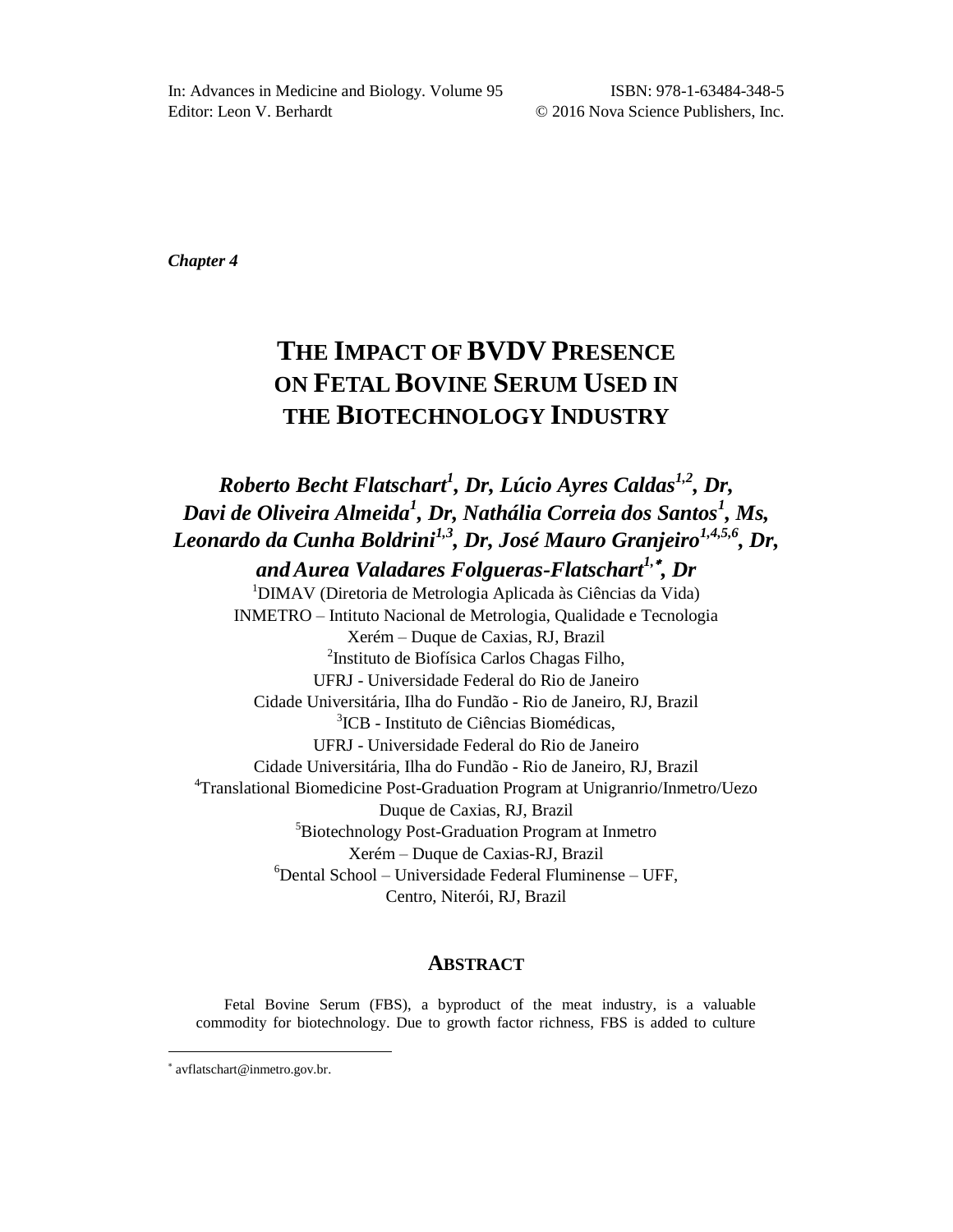*Chapter 4*

# **THE IMPACT OF BVDV PRESENCE ON FETAL BOVINE SERUM USED IN THE BIOTECHNOLOGY INDUSTRY**

# *Roberto Becht Flatschart<sup>1</sup> , Dr, Lúcio Ayres Caldas1,2 , Dr, Davi de Oliveira Almeida<sup>1</sup> , Dr, Nathália Correia dos Santos<sup>1</sup> , Ms, Leonardo da Cunha Boldrini1,3 , Dr, José Mauro Granjeiro1,4,5,6 , Dr,*

*andAurea Valadares Folgueras-Flatschart1, , Dr* <sup>1</sup>DIMAV (Diretoria de Metrologia Aplicada às Ciências da Vida) INMETRO – Intituto Nacional de Metrologia, Qualidade e Tecnologia Xerém – Duque de Caxias, RJ, Brazil <sup>2</sup>Instituto de Biofísica Carlos Chagas Filho, UFRJ - Universidade Federal do Rio de Janeiro Cidade Universitária, Ilha do Fundão - Rio de Janeiro, RJ, Brazil 3 ICB - Instituto de Ciências Biomédicas, UFRJ - Universidade Federal do Rio de Janeiro Cidade Universitária, Ilha do Fundão - Rio de Janeiro, RJ, Brazil <sup>4</sup>Translational Biomedicine Post-Graduation Program at Unigranrio/Inmetro/Uezo Duque de Caxias, RJ, Brazil <sup>5</sup>Biotechnology Post-Graduation Program at Inmetro Xerém – Duque de Caxias-RJ, Brazil  $6$ Dental School – Universidade Federal Fluminense – UFF, Centro, Niterói, RJ, Brazil

### **ABSTRACT**

Fetal Bovine Serum (FBS), a byproduct of the meat industry, is a valuable commodity for biotechnology. Due to growth factor richness, FBS is added to culture

l

avflatschart@inmetro.gov.br.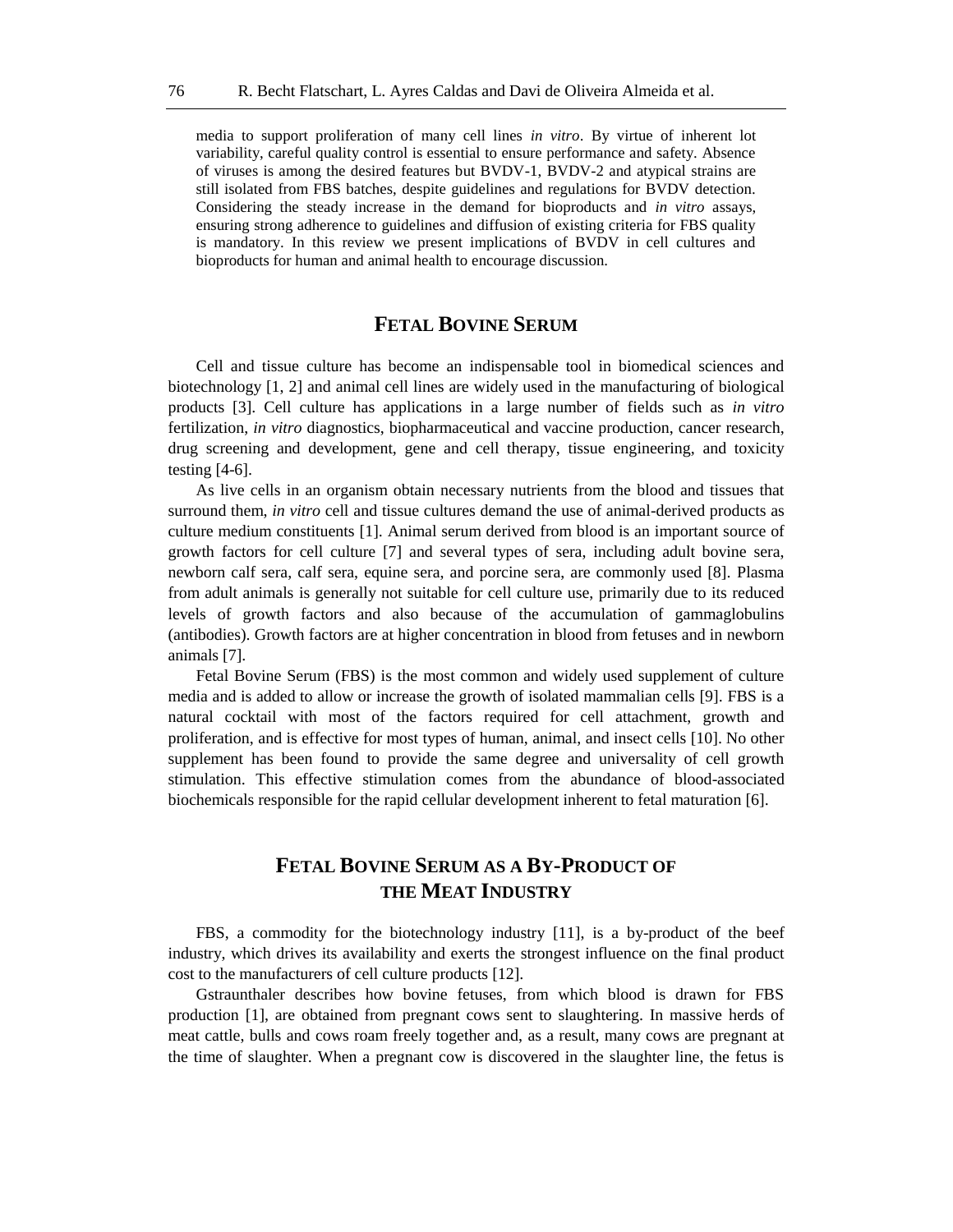media to support proliferation of many cell lines *in vitro*. By virtue of inherent lot variability, careful quality control is essential to ensure performance and safety. Absence of viruses is among the desired features but BVDV-1, BVDV-2 and atypical strains are still isolated from FBS batches, despite guidelines and regulations for BVDV detection. Considering the steady increase in the demand for bioproducts and *in vitro* assays, ensuring strong adherence to guidelines and diffusion of existing criteria for FBS quality is mandatory. In this review we present implications of BVDV in cell cultures and bioproducts for human and animal health to encourage discussion.

### **FETAL BOVINE SERUM**

Cell and tissue culture has become an indispensable tool in biomedical sciences and biotechnology [1, 2] and animal cell lines are widely used in the manufacturing of biological products [3]. Cell culture has applications in a large number of fields such as *in vitro* fertilization, *in vitro* diagnostics, biopharmaceutical and vaccine production, cancer research, drug screening and development, gene and cell therapy, tissue engineering, and toxicity testing [4-6].

As live cells in an organism obtain necessary nutrients from the blood and tissues that surround them, *in vitro* cell and tissue cultures demand the use of animal-derived products as culture medium constituents [1]. Animal serum derived from blood is an important source of growth factors for cell culture [7] and several types of sera, including adult bovine sera, newborn calf sera, calf sera, equine sera, and porcine sera, are commonly used [8]. Plasma from adult animals is generally not suitable for cell culture use, primarily due to its reduced levels of growth factors and also because of the accumulation of gammaglobulins (antibodies). Growth factors are at higher concentration in blood from fetuses and in newborn animals [7].

Fetal Bovine Serum (FBS) is the most common and widely used supplement of culture media and is added to allow or increase the growth of isolated mammalian cells [9]. FBS is a natural cocktail with most of the factors required for cell attachment, growth and proliferation, and is effective for most types of human, animal, and insect cells [10]. No other supplement has been found to provide the same degree and universality of cell growth stimulation. This effective stimulation comes from the abundance of blood-associated biochemicals responsible for the rapid cellular development inherent to fetal maturation [6].

# **FETAL BOVINE SERUM AS A BY-PRODUCT OF THE MEAT INDUSTRY**

FBS, a commodity for the biotechnology industry [11], is a by-product of the beef industry, which drives its availability and exerts the strongest influence on the final product cost to the manufacturers of cell culture products [12].

Gstraunthaler describes how bovine fetuses, from which blood is drawn for FBS production [1], are obtained from pregnant cows sent to slaughtering. In massive herds of meat cattle, bulls and cows roam freely together and, as a result, many cows are pregnant at the time of slaughter. When a pregnant cow is discovered in the slaughter line, the fetus is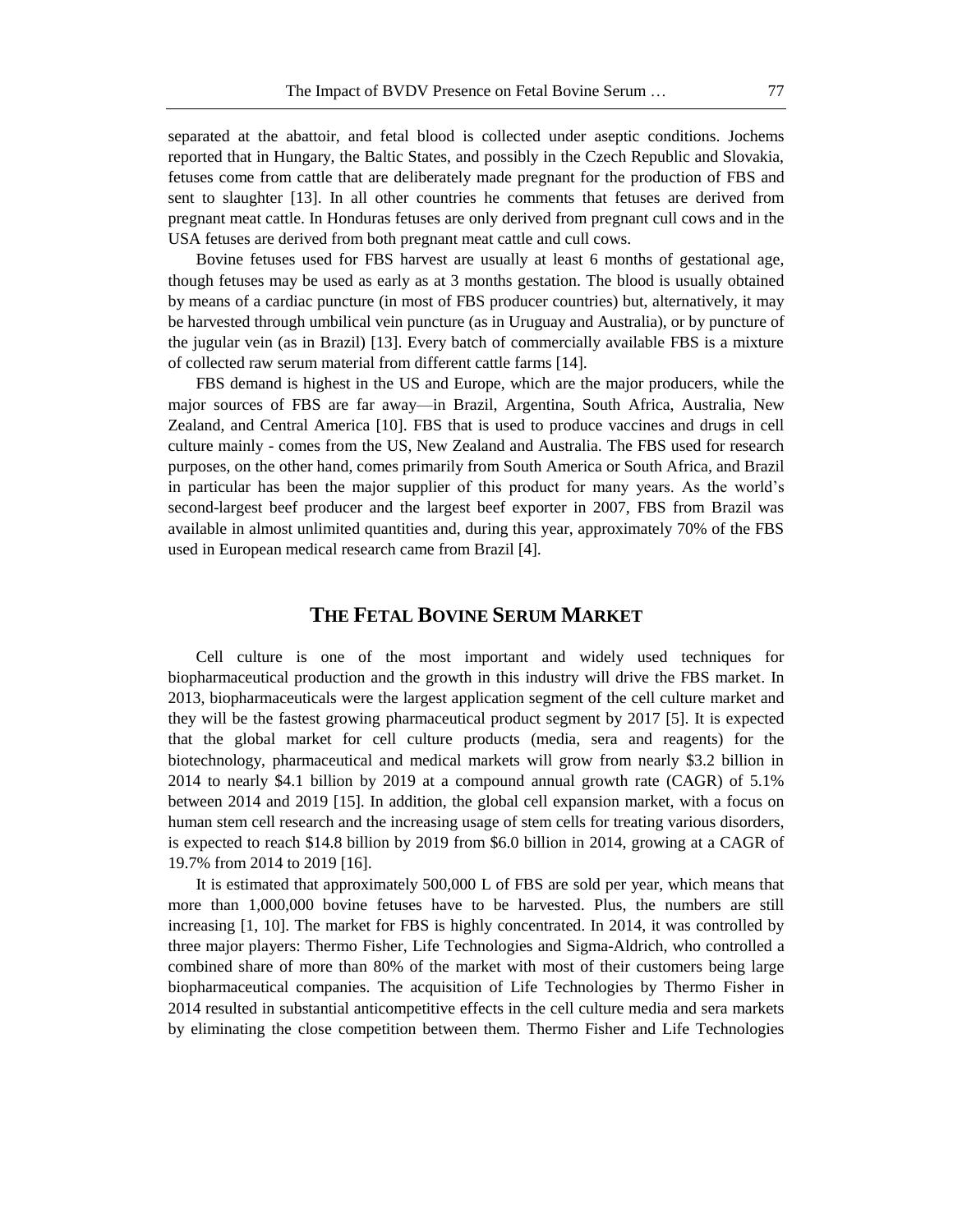separated at the abattoir, and fetal blood is collected under aseptic conditions. Jochems reported that in Hungary, the Baltic States, and possibly in the Czech Republic and Slovakia, fetuses come from cattle that are deliberately made pregnant for the production of FBS and sent to slaughter [13]. In all other countries he comments that fetuses are derived from pregnant meat cattle. In Honduras fetuses are only derived from pregnant cull cows and in the USA fetuses are derived from both pregnant meat cattle and cull cows.

Bovine fetuses used for FBS harvest are usually at least 6 months of gestational age, though fetuses may be used as early as at 3 months gestation. The blood is usually obtained by means of a cardiac puncture (in most of FBS producer countries) but, alternatively, it may be harvested through umbilical vein puncture (as in Uruguay and Australia), or by puncture of the jugular vein (as in Brazil) [13]. Every batch of commercially available FBS is a mixture of collected raw serum material from different cattle farms [14].

FBS demand is highest in the US and Europe, which are the major producers, while the major sources of FBS are far away—in Brazil, Argentina, South Africa, Australia, New Zealand, and Central America [10]. FBS that is used to produce vaccines and drugs in cell culture mainly - comes from the US, New Zealand and Australia. The FBS used for research purposes, on the other hand, comes primarily from South America or South Africa, and Brazil in particular has been the major supplier of this product for many years. As the world's second-largest beef producer and the largest beef exporter in 2007, FBS from Brazil was available in almost unlimited quantities and, during this year, approximately 70% of the FBS used in European medical research came from Brazil [4].

#### **THE FETAL BOVINE SERUM MARKET**

Cell culture is one of the most important and widely used techniques for biopharmaceutical production and the growth in this industry will drive the FBS market. In 2013, biopharmaceuticals were the largest application segment of the cell culture market and they will be the fastest growing pharmaceutical product segment by 2017 [5]. It is expected that the global market for cell culture products (media, sera and reagents) for the biotechnology, pharmaceutical and medical markets will grow from nearly \$3.2 billion in 2014 to nearly \$4.1 billion by 2019 at a compound annual growth rate (CAGR) of 5.1% between 2014 and 2019 [15]. In addition, the global cell expansion market, with a focus on human stem cell research and the increasing usage of stem cells for treating various disorders, is expected to reach \$14.8 billion by 2019 from \$6.0 billion in 2014, growing at a CAGR of 19.7% from 2014 to 2019 [16].

It is estimated that approximately 500,000 L of FBS are sold per year, which means that more than 1,000,000 bovine fetuses have to be harvested. Plus, the numbers are still increasing [1, 10]. The market for FBS is highly concentrated. In 2014, it was controlled by three major players: Thermo Fisher, Life Technologies and Sigma-Aldrich, who controlled a combined share of more than 80% of the market with most of their customers being large biopharmaceutical companies. The acquisition of Life Technologies by Thermo Fisher in 2014 resulted in substantial anticompetitive effects in the cell culture media and sera markets by eliminating the close competition between them. Thermo Fisher and Life Technologies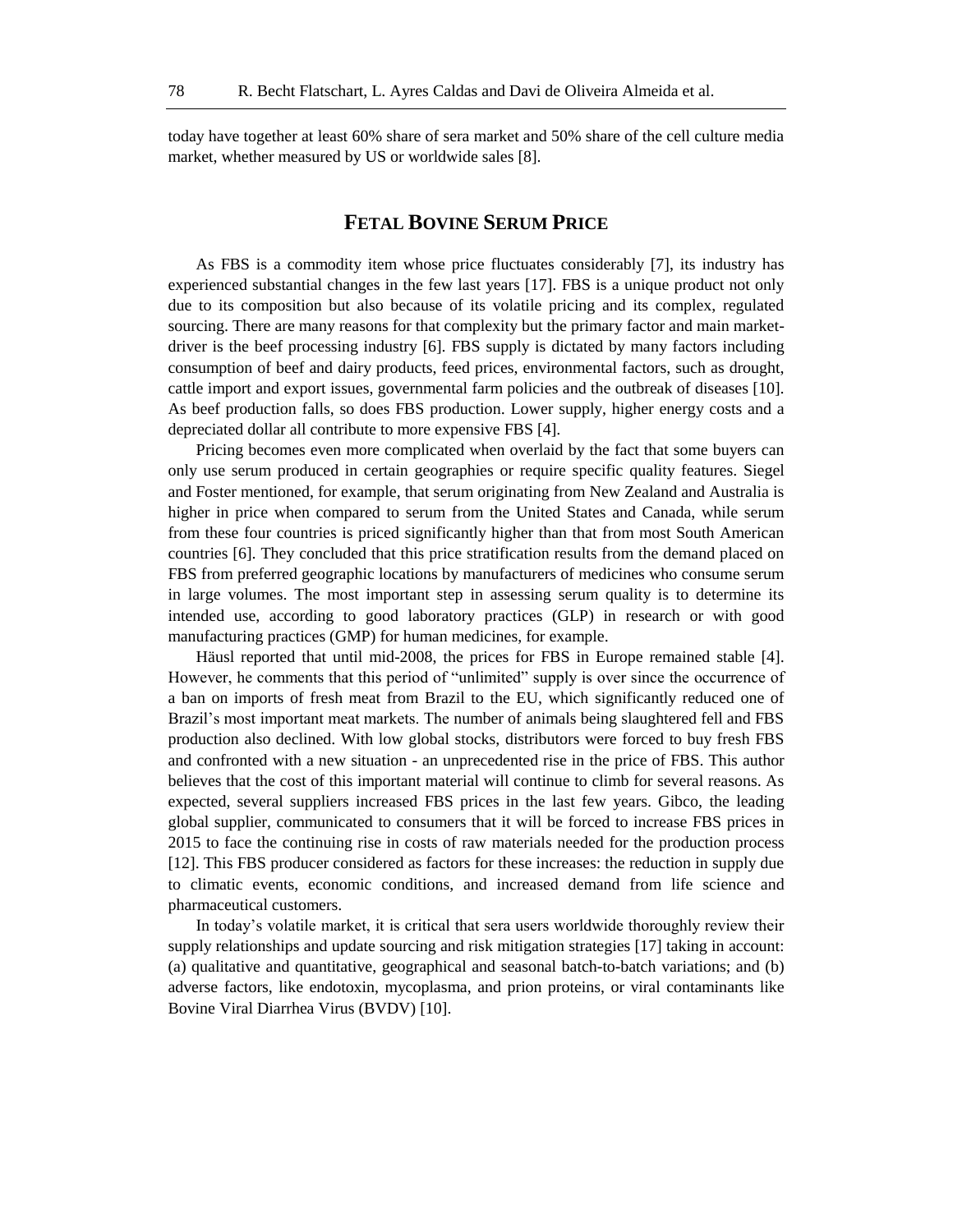today have together at least 60% share of sera market and 50% share of the cell culture media market, whether measured by US or worldwide sales [8].

## **FETAL BOVINE SERUM PRICE**

As FBS is a commodity item whose price fluctuates considerably [7], its industry has experienced substantial changes in the few last years [17]. FBS is a unique product not only due to its composition but also because of its volatile pricing and its complex, regulated sourcing. There are many reasons for that complexity but the primary factor and main marketdriver is the beef processing industry [6]. FBS supply is dictated by many factors including consumption of beef and dairy products, feed prices, environmental factors, such as drought, cattle import and export issues, governmental farm policies and the outbreak of diseases [10]. As beef production falls, so does FBS production. Lower supply, higher energy costs and a depreciated dollar all contribute to more expensive FBS [4].

Pricing becomes even more complicated when overlaid by the fact that some buyers can only use serum produced in certain geographies or require specific quality features. Siegel and Foster mentioned, for example, that serum originating from New Zealand and Australia is higher in price when compared to serum from the United States and Canada, while serum from these four countries is priced significantly higher than that from most South American countries [6]. They concluded that this price stratification results from the demand placed on FBS from preferred geographic locations by manufacturers of medicines who consume serum in large volumes. The most important step in assessing serum quality is to determine its intended use, according to good laboratory practices (GLP) in research or with good manufacturing practices (GMP) for human medicines, for example.

Häusl reported that until mid-2008, the prices for FBS in Europe remained stable [4]. However, he comments that this period of "unlimited" supply is over since the occurrence of a ban on imports of fresh meat from Brazil to the EU, which significantly reduced one of Brazil's most important meat markets. The number of animals being slaughtered fell and FBS production also declined. With low global stocks, distributors were forced to buy fresh FBS and confronted with a new situation - an unprecedented rise in the price of FBS. This author believes that the cost of this important material will continue to climb for several reasons. As expected, several suppliers increased FBS prices in the last few years. Gibco, the leading global supplier, communicated to consumers that it will be forced to increase FBS prices in 2015 to face the continuing rise in costs of raw materials needed for the production process [12]. This FBS producer considered as factors for these increases: the reduction in supply due to climatic events, economic conditions, and increased demand from life science and pharmaceutical customers.

In today's volatile market, it is critical that sera users worldwide thoroughly review their supply relationships and update sourcing and risk mitigation strategies [17] taking in account: (a) qualitative and quantitative, geographical and seasonal batch-to-batch variations; and (b) adverse factors, like endotoxin, mycoplasma, and prion proteins, or viral contaminants like Bovine Viral Diarrhea Virus (BVDV) [10].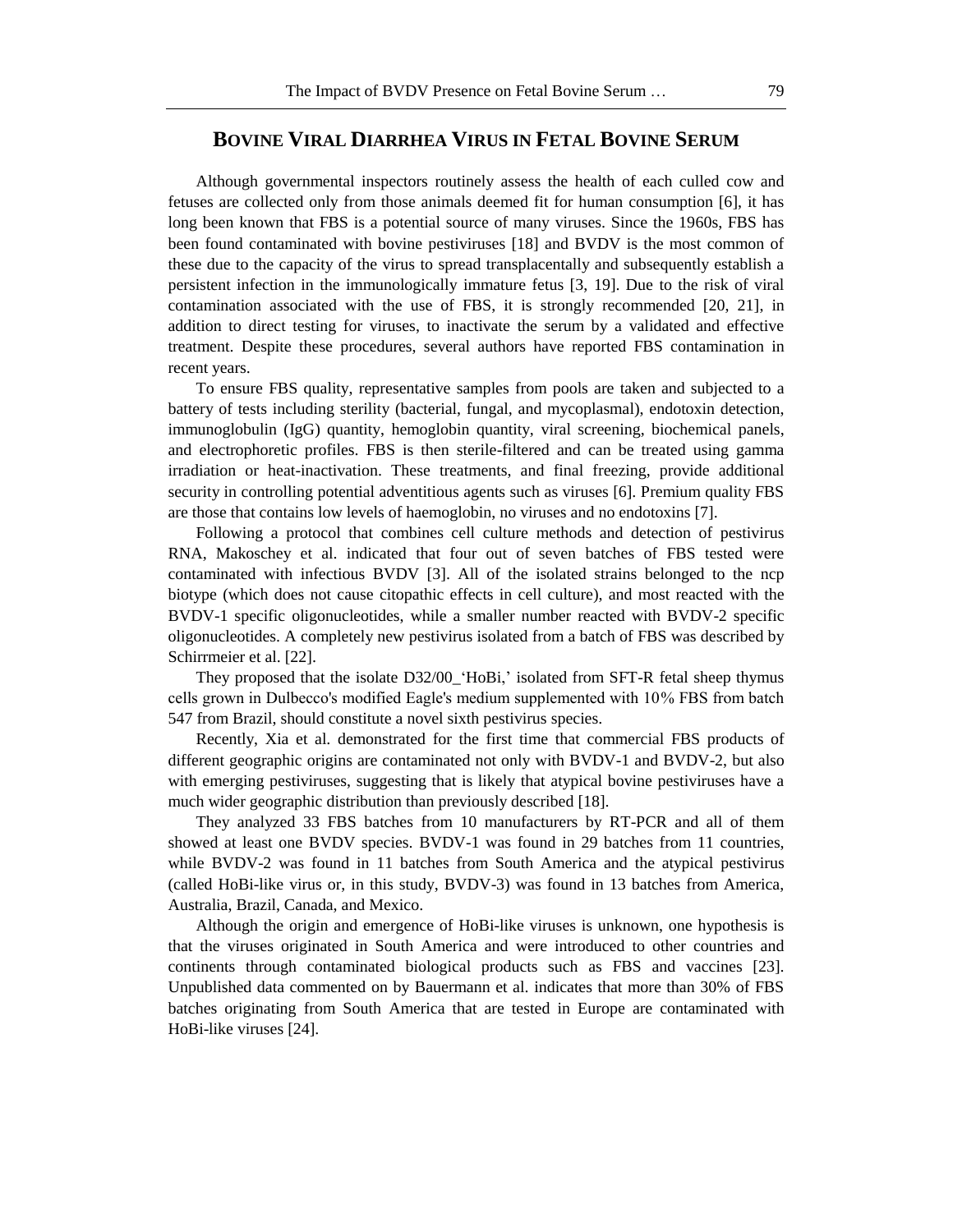#### **BOVINE VIRAL DIARRHEA VIRUS IN FETAL BOVINE SERUM**

Although governmental inspectors routinely assess the health of each culled cow and fetuses are collected only from those animals deemed fit for human consumption [6], it has long been known that FBS is a potential source of many viruses. Since the 1960s, FBS has been found contaminated with bovine pestiviruses [18] and BVDV is the most common of these due to the capacity of the virus to spread transplacentally and subsequently establish a persistent infection in the immunologically immature fetus [3, 19]. Due to the risk of viral contamination associated with the use of FBS, it is strongly recommended [20, 21], in addition to direct testing for viruses, to inactivate the serum by a validated and effective treatment. Despite these procedures, several authors have reported FBS contamination in recent years.

To ensure FBS quality, representative samples from pools are taken and subjected to a battery of tests including sterility (bacterial, fungal, and mycoplasmal), endotoxin detection, immunoglobulin (IgG) quantity, hemoglobin quantity, viral screening, biochemical panels, and electrophoretic profiles. FBS is then sterile-filtered and can be treated using gamma irradiation or heat-inactivation. These treatments, and final freezing, provide additional security in controlling potential adventitious agents such as viruses [6]. Premium quality FBS are those that contains low levels of haemoglobin, no viruses and no endotoxins [7].

Following a protocol that combines cell culture methods and detection of pestivirus RNA, Makoschey et al. indicated that four out of seven batches of FBS tested were contaminated with infectious BVDV [3]. All of the isolated strains belonged to the ncp biotype (which does not cause citopathic effects in cell culture), and most reacted with the BVDV-1 specific oligonucleotides, while a smaller number reacted with BVDV-2 specific oligonucleotides. A completely new pestivirus isolated from a batch of FBS was described by Schirrmeier et al. [22].

They proposed that the isolate D32/00 'HoBi,' isolated from SFT-R fetal sheep thymus cells grown in Dulbecco's modified Eagle's medium supplemented with 10 % FBS from batch 547 from Brazil, should constitute a novel sixth pestivirus species.

Recently, Xia et al. demonstrated for the first time that commercial FBS products of different geographic origins are contaminated not only with BVDV-1 and BVDV-2, but also with emerging pestiviruses, suggesting that is likely that atypical bovine pestiviruses have a much wider geographic distribution than previously described [18].

They analyzed 33 FBS batches from 10 manufacturers by RT-PCR and all of them showed at least one BVDV species. BVDV-1 was found in 29 batches from 11 countries, while BVDV-2 was found in 11 batches from South America and the atypical pestivirus (called HoBi-like virus or, in this study, BVDV-3) was found in 13 batches from America, Australia, Brazil, Canada, and Mexico.

Although the origin and emergence of HoBi-like viruses is unknown, one hypothesis is that the viruses originated in South America and were introduced to other countries and continents through contaminated biological products such as FBS and vaccines [23]. Unpublished data commented on by Bauermann et al. indicates that more than 30% of FBS batches originating from South America that are tested in Europe are contaminated with HoBi-like viruses [24].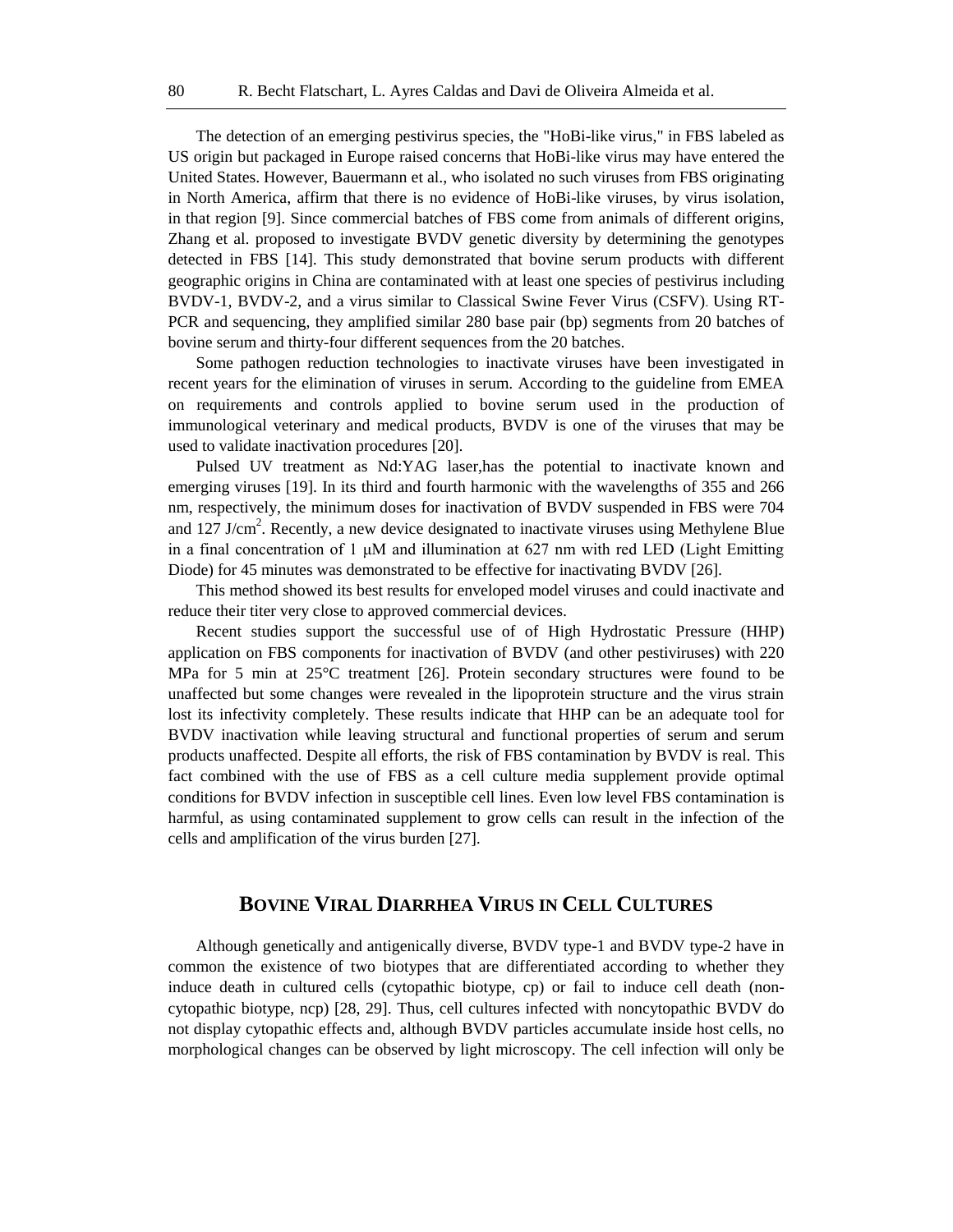The detection of an emerging pestivirus species, the "HoBi-like virus," in FBS labeled as US origin but packaged in Europe raised concerns that HoBi-like virus may have entered the United States. However, Bauermann et al., who isolated no such viruses from FBS originating in North America, affirm that there is no evidence of HoBi-like viruses, by virus isolation, in that region [9]. Since commercial batches of FBS come from animals of different origins, Zhang et al. proposed to investigate BVDV genetic diversity by determining the genotypes detected in FBS [14]. This study demonstrated that bovine serum products with different geographic origins in China are contaminated with at least one species of pestivirus including BVDV-1, BVDV-2, and a virus similar to Classical Swine Fever Virus (CSFV). Using RT-PCR and sequencing, they amplified similar 280 base pair (bp) segments from 20 batches of bovine serum and thirty-four different sequences from the 20 batches.

Some pathogen reduction technologies to inactivate viruses have been investigated in recent years for the elimination of viruses in serum. According to the guideline from EMEA on requirements and controls applied to bovine serum used in the production of immunological veterinary and medical products, BVDV is one of the viruses that may be used to validate inactivation procedures [20].

Pulsed UV treatment as Nd:YAG laser,has the potential to inactivate known and emerging viruses [19]. In its third and fourth harmonic with the wavelengths of 355 and 266 nm, respectively, the minimum doses for inactivation of BVDV suspended in FBS were 704 and 127 J/cm<sup>2</sup>. Recently, a new device designated to inactivate viruses using Methylene Blue in a final concentration of 1  $\mu$ M and illumination at 627 nm with red LED (Light Emitting Diode) for 45 minutes was demonstrated to be effective for inactivating BVDV [26].

This method showed its best results for enveloped model viruses and could inactivate and reduce their titer very close to approved commercial devices.

Recent studies support the successful use of of High Hydrostatic Pressure (HHP) application on FBS components for inactivation of BVDV (and other pestiviruses) with 220 MPa for 5 min at 25°C treatment [26]. Protein secondary structures were found to be unaffected but some changes were revealed in the lipoprotein structure and the virus strain lost its infectivity completely. These results indicate that HHP can be an adequate tool for BVDV inactivation while leaving structural and functional properties of serum and serum products unaffected. Despite all efforts, the risk of FBS contamination by BVDV is real. This fact combined with the use of FBS as a cell culture media supplement provide optimal conditions for BVDV infection in susceptible cell lines. Even low level FBS contamination is harmful, as using contaminated supplement to grow cells can result in the infection of the cells and amplification of the virus burden [27].

#### **BOVINE VIRAL DIARRHEA VIRUS IN CELL CULTURES**

Although genetically and antigenically diverse, BVDV type-1 and BVDV type-2 have in common the existence of two biotypes that are differentiated according to whether they induce death in cultured cells (cytopathic biotype, cp) or fail to induce cell death (noncytopathic biotype, ncp) [28, 29]. Thus, cell cultures infected with noncytopathic BVDV do not display cytopathic effects and, although BVDV particles accumulate inside host cells, no morphological changes can be observed by light microscopy. The cell infection will only be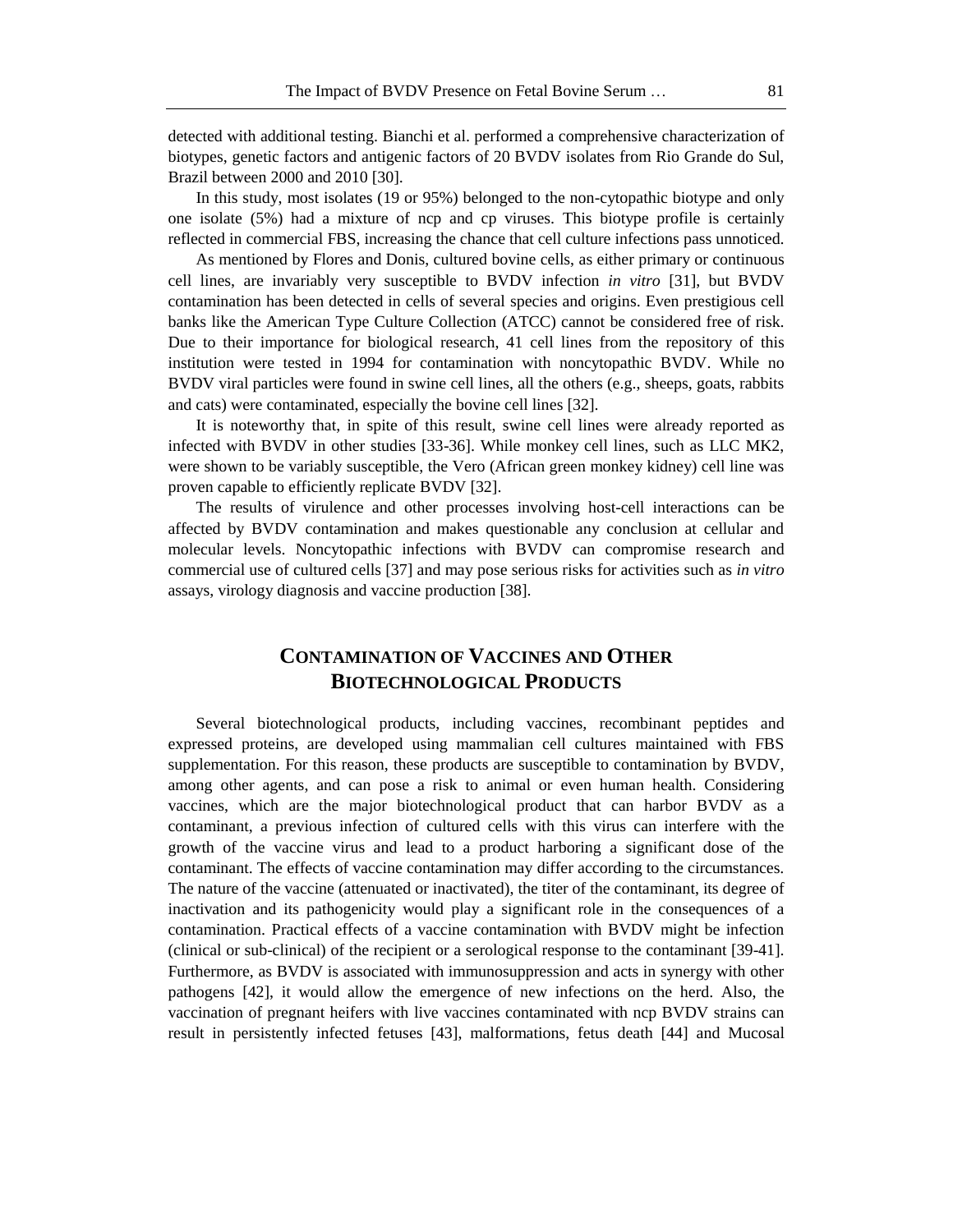detected with additional testing. Bianchi et al. performed a comprehensive characterization of biotypes, genetic factors and antigenic factors of 20 BVDV isolates from Rio Grande do Sul, Brazil between 2000 and 2010 [30].

In this study, most isolates (19 or 95%) belonged to the non-cytopathic biotype and only one isolate (5%) had a mixture of ncp and cp viruses. This biotype profile is certainly reflected in commercial FBS, increasing the chance that cell culture infections pass unnoticed.

As mentioned by Flores and Donis, cultured bovine cells, as either primary or continuous cell lines, are invariably very susceptible to BVDV infection *in vitro* [31], but BVDV contamination has been detected in cells of several species and origins. Even prestigious cell banks like the American Type Culture Collection (ATCC) cannot be considered free of risk. Due to their importance for biological research, 41 cell lines from the repository of this institution were tested in 1994 for contamination with noncytopathic BVDV. While no BVDV viral particles were found in swine cell lines, all the others (e.g., sheeps, goats, rabbits and cats) were contaminated, especially the bovine cell lines [32].

It is noteworthy that, in spite of this result, swine cell lines were already reported as infected with BVDV in other studies [33-36]. While monkey cell lines, such as LLC MK2, were shown to be variably susceptible, the Vero (African green monkey kidney) cell line was proven capable to efficiently replicate BVDV [32].

The results of virulence and other processes involving host-cell interactions can be affected by BVDV contamination and makes questionable any conclusion at cellular and molecular levels. Noncytopathic infections with BVDV can compromise research and commercial use of cultured cells [37] and may pose serious risks for activities such as *in vitro* assays, virology diagnosis and vaccine production [38].

# **CONTAMINATION OF VACCINES AND OTHER BIOTECHNOLOGICAL PRODUCTS**

Several biotechnological products, including vaccines, recombinant peptides and expressed proteins, are developed using mammalian cell cultures maintained with FBS supplementation. For this reason, these products are susceptible to contamination by BVDV, among other agents, and can pose a risk to animal or even human health. Considering vaccines, which are the major biotechnological product that can harbor BVDV as a contaminant, a previous infection of cultured cells with this virus can interfere with the growth of the vaccine virus and lead to a product harboring a significant dose of the contaminant. The effects of vaccine contamination may differ according to the circumstances. The nature of the vaccine (attenuated or inactivated), the titer of the contaminant, its degree of inactivation and its pathogenicity would play a significant role in the consequences of a contamination. Practical effects of a vaccine contamination with BVDV might be infection (clinical or sub-clinical) of the recipient or a serological response to the contaminant [39-41]. Furthermore, as BVDV is associated with immunosuppression and acts in synergy with other pathogens [42], it would allow the emergence of new infections on the herd. Also, the vaccination of pregnant heifers with live vaccines contaminated with ncp BVDV strains can result in persistently infected fetuses [43], malformations, fetus death [44] and Mucosal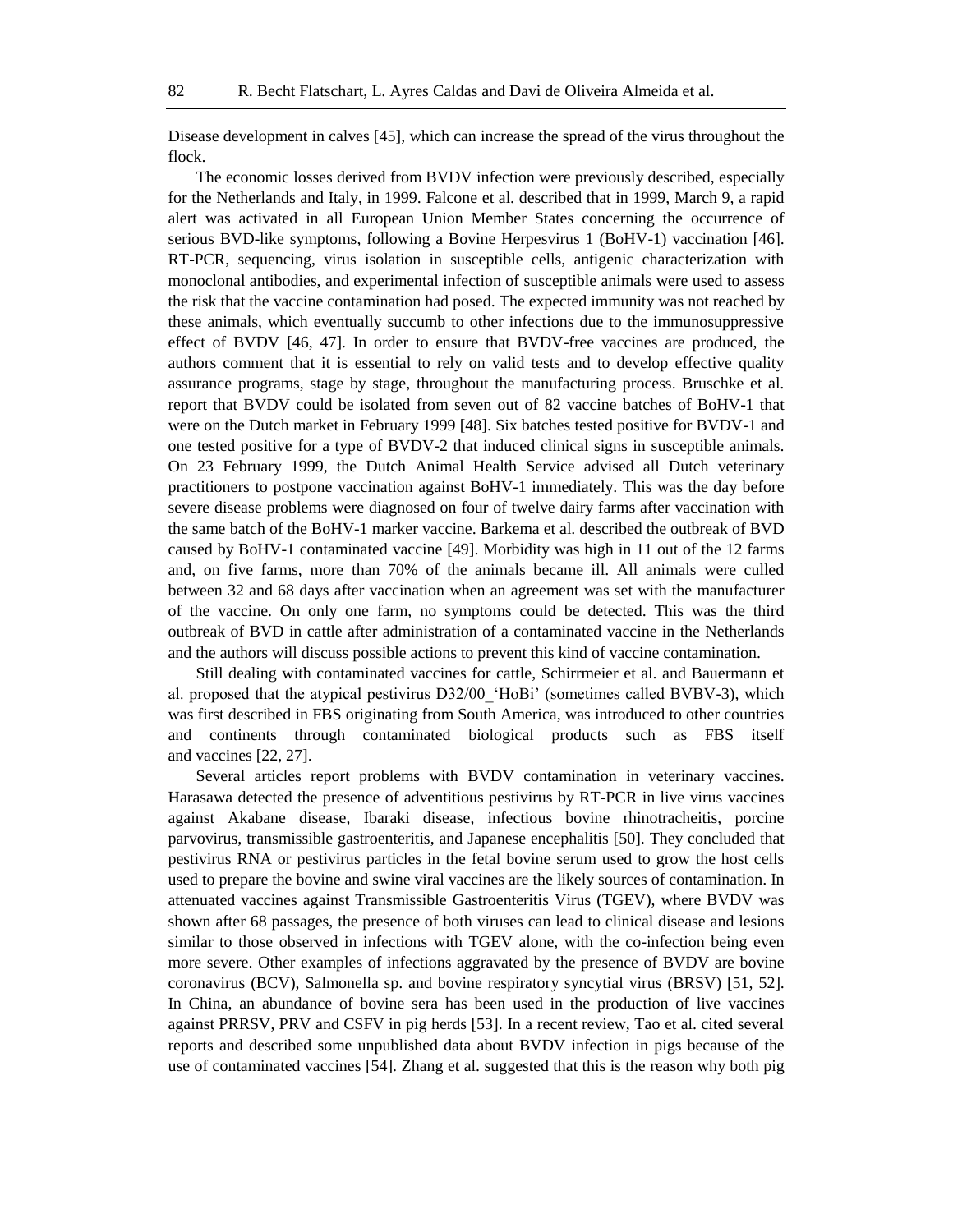Disease development in calves [45], which can increase the spread of the virus throughout the flock.

The economic losses derived from BVDV infection were previously described, especially for the Netherlands and Italy, in 1999. Falcone et al. described that in 1999, March 9, a rapid alert was activated in all European Union Member States concerning the occurrence of serious BVD-like symptoms, following a Bovine Herpesvirus 1 (BoHV-1) vaccination [46]. RT-PCR, sequencing, virus isolation in susceptible cells, antigenic characterization with monoclonal antibodies, and experimental infection of susceptible animals were used to assess the risk that the vaccine contamination had posed. The expected immunity was not reached by these animals, which eventually succumb to other infections due to the immunosuppressive effect of BVDV [46, 47]. In order to ensure that BVDV-free vaccines are produced, the authors comment that it is essential to rely on valid tests and to develop effective quality assurance programs, stage by stage, throughout the manufacturing process. Bruschke et al. report that BVDV could be isolated from seven out of 82 vaccine batches of BoHV-1 that were on the Dutch market in February 1999 [48]. Six batches tested positive for BVDV-1 and one tested positive for a type of BVDV-2 that induced clinical signs in susceptible animals. On 23 February 1999, the Dutch Animal Health Service advised all Dutch veterinary practitioners to postpone vaccination against BoHV-1 immediately. This was the day before severe disease problems were diagnosed on four of twelve dairy farms after vaccination with the same batch of the BoHV-1 marker vaccine. Barkema et al. described the outbreak of BVD caused by BoHV-1 contaminated vaccine [49]. Morbidity was high in 11 out of the 12 farms and, on five farms, more than 70% of the animals became ill. All animals were culled between 32 and 68 days after vaccination when an agreement was set with the manufacturer of the vaccine. On only one farm, no symptoms could be detected. This was the third outbreak of BVD in cattle after administration of a contaminated vaccine in the Netherlands and the authors will discuss possible actions to prevent this kind of vaccine contamination.

Still dealing with contaminated vaccines for cattle, Schirrmeier et al. and Bauermann et al. proposed that the atypical pestivirus D32/00 'HoBi' (sometimes called BVBV-3), which was first described in FBS originating from South America, was introduced to other countries and continents through contaminated biological products such as FBS itself and vaccines [22, 27].

Several articles report problems with BVDV contamination in veterinary vaccines. Harasawa detected the presence of adventitious pestivirus by RT-PCR in live virus vaccines against Akabane disease, Ibaraki disease, infectious bovine rhinotracheitis, porcine parvovirus, transmissible gastroenteritis, and Japanese encephalitis [50]. They concluded that pestivirus RNA or pestivirus particles in the fetal bovine serum used to grow the host cells used to prepare the bovine and swine viral vaccines are the likely sources of contamination. In attenuated vaccines against Transmissible Gastroenteritis Virus (TGEV), where BVDV was shown after 68 passages, the presence of both viruses can lead to clinical disease and lesions similar to those observed in infections with TGEV alone, with the co-infection being even more severe. Other examples of infections aggravated by the presence of BVDV are bovine coronavirus (BCV), Salmonella sp. and bovine respiratory syncytial virus (BRSV) [51, 52]. In China, an abundance of bovine sera has been used in the production of live vaccines against PRRSV, PRV and CSFV in pig herds [53]. In a recent review, Tao et al. cited several reports and described some unpublished data about BVDV infection in pigs because of the use of contaminated vaccines [54]. Zhang et al. suggested that this is the reason why both pig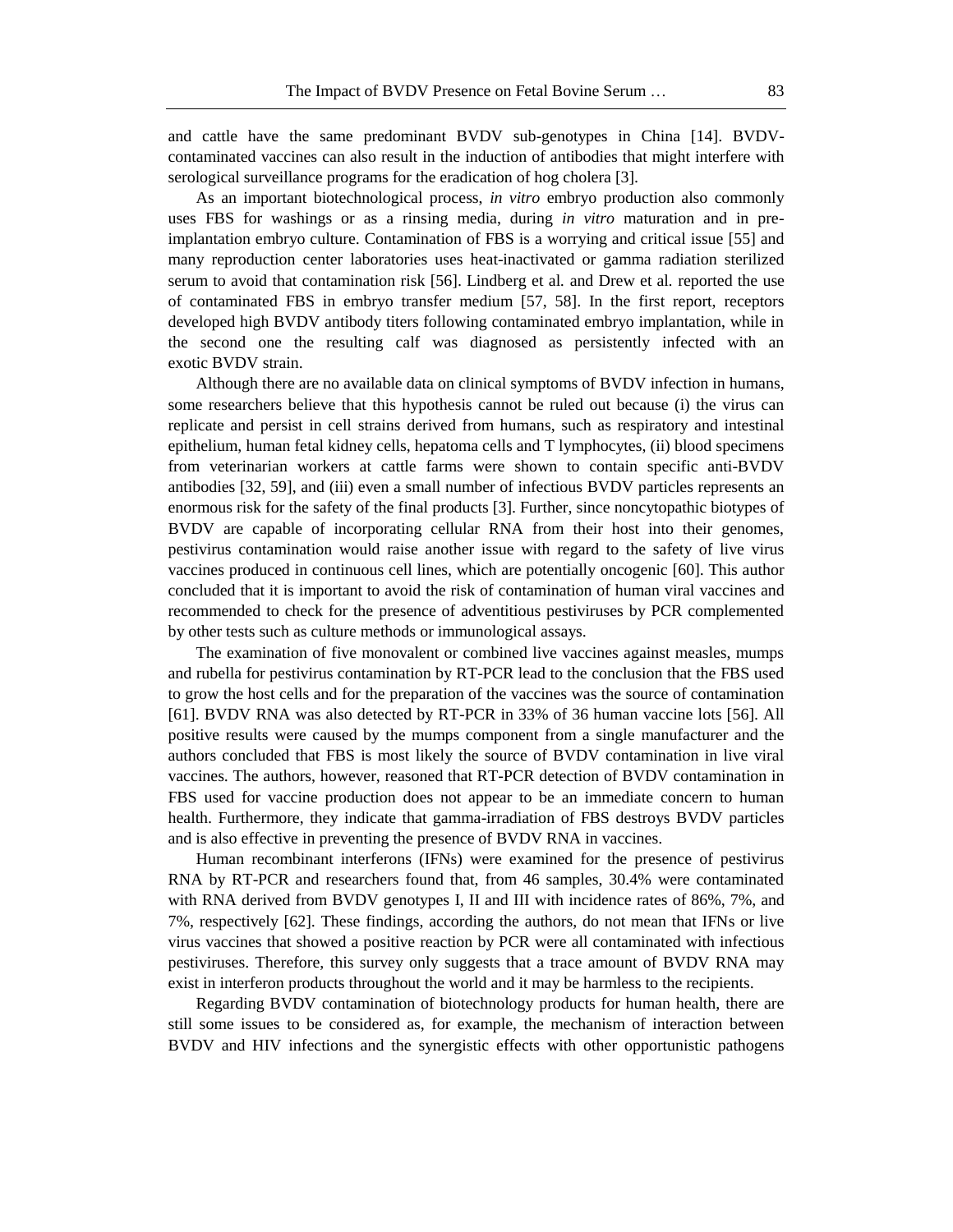and cattle have the same predominant BVDV sub-genotypes in China [14]. BVDVcontaminated vaccines can also result in the induction of antibodies that might interfere with serological surveillance programs for the eradication of hog cholera [3].

As an important biotechnological process, *in vitro* embryo production also commonly uses FBS for washings or as a rinsing media, during *in vitro* maturation and in preimplantation embryo culture. Contamination of FBS is a worrying and critical issue [55] and many reproduction center laboratories uses heat-inactivated or gamma radiation sterilized serum to avoid that contamination risk [56]. Lindberg et al*.* and Drew et al*.* reported the use of contaminated FBS in embryo transfer medium [57, 58]. In the first report, receptors developed high BVDV antibody titers following contaminated embryo implantation, while in the second one the resulting calf was diagnosed as persistently infected with an exotic BVDV strain.

Although there are no available data on clinical symptoms of BVDV infection in humans, some researchers believe that this hypothesis cannot be ruled out because (i) the virus can replicate and persist in cell strains derived from humans, such as respiratory and intestinal epithelium, human fetal kidney cells, hepatoma cells and T lymphocytes, (ii) blood specimens from veterinarian workers at cattle farms were shown to contain specific anti-BVDV antibodies [32, 59], and (iii) even a small number of infectious BVDV particles represents an enormous risk for the safety of the final products [3]. Further, since noncytopathic biotypes of BVDV are capable of incorporating cellular RNA from their host into their genomes, pestivirus contamination would raise another issue with regard to the safety of live virus vaccines produced in continuous cell lines, which are potentially oncogenic [60]. This author concluded that it is important to avoid the risk of contamination of human viral vaccines and recommended to check for the presence of adventitious pestiviruses by PCR complemented by other tests such as culture methods or immunological assays.

The examination of five monovalent or combined live vaccines against measles, mumps and rubella for pestivirus contamination by RT-PCR lead to the conclusion that the FBS used to grow the host cells and for the preparation of the vaccines was the source of contamination [61]. BVDV RNA was also detected by RT-PCR in 33% of 36 human vaccine lots [56]. All positive results were caused by the mumps component from a single manufacturer and the authors concluded that FBS is most likely the source of BVDV contamination in live viral vaccines. The authors, however, reasoned that RT-PCR detection of BVDV contamination in FBS used for vaccine production does not appear to be an immediate concern to human health. Furthermore, they indicate that gamma-irradiation of FBS destroys BVDV particles and is also effective in preventing the presence of BVDV RNA in vaccines.

Human recombinant interferons (IFNs) were examined for the presence of pestivirus RNA by RT-PCR and researchers found that, from 46 samples, 30.4% were contaminated with RNA derived from BVDV genotypes I, II and III with incidence rates of 86%, 7%, and 7%, respectively [62]. These findings, according the authors, do not mean that IFNs or live virus vaccines that showed a positive reaction by PCR were all contaminated with infectious pestiviruses. Therefore, this survey only suggests that a trace amount of BVDV RNA may exist in interferon products throughout the world and it may be harmless to the recipients.

Regarding BVDV contamination of biotechnology products for human health, there are still some issues to be considered as, for example, the mechanism of interaction between BVDV and HIV infections and the synergistic effects with other opportunistic pathogens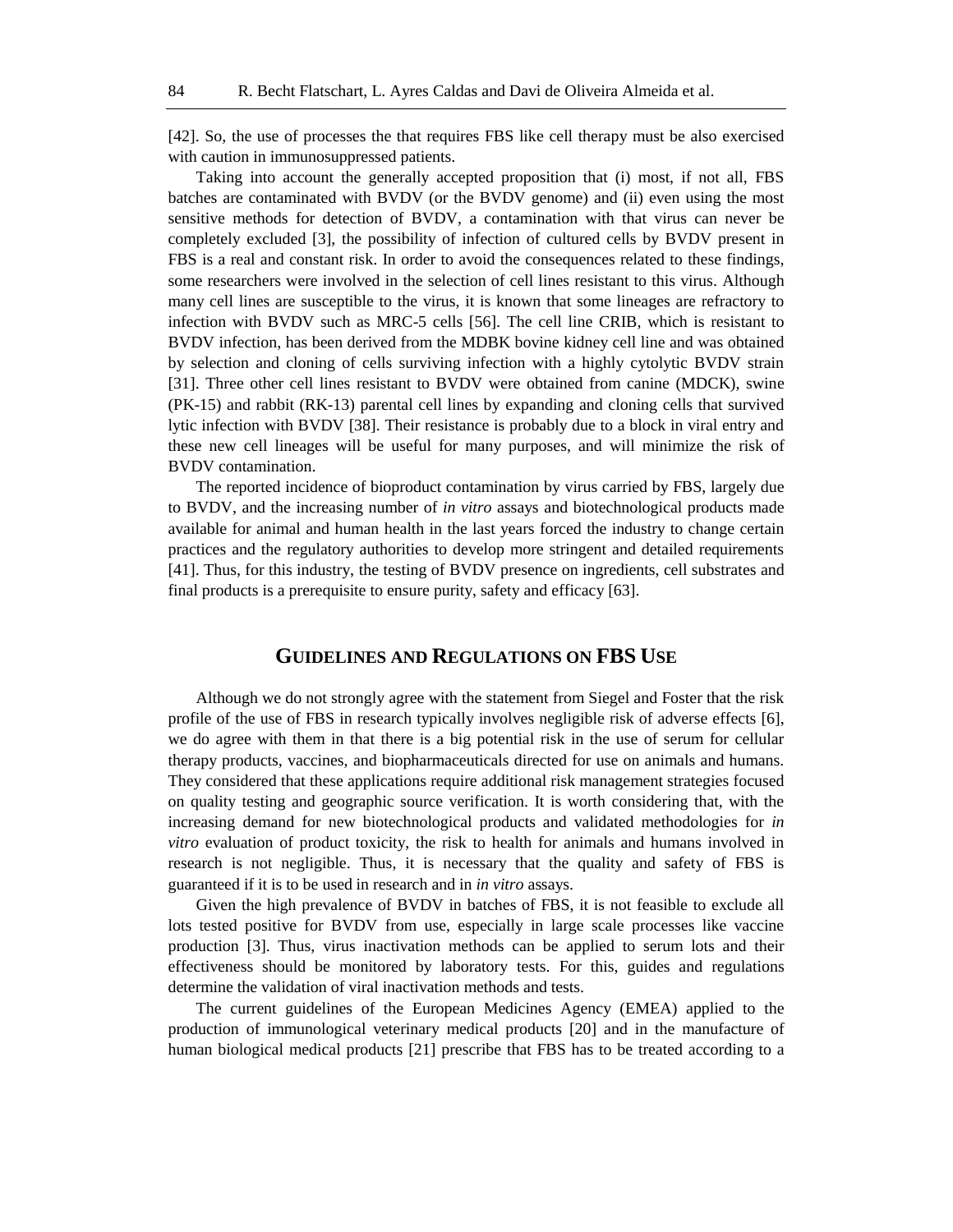[42]. So, the use of processes the that requires FBS like cell therapy must be also exercised with caution in immunosuppressed patients.

Taking into account the generally accepted proposition that (i) most, if not all, FBS batches are contaminated with BVDV (or the BVDV genome) and (ii) even using the most sensitive methods for detection of BVDV, a contamination with that virus can never be completely excluded [3], the possibility of infection of cultured cells by BVDV present in FBS is a real and constant risk. In order to avoid the consequences related to these findings, some researchers were involved in the selection of cell lines resistant to this virus. Although many cell lines are susceptible to the virus, it is known that some lineages are refractory to infection with BVDV such as MRC-5 cells [56]. The cell line CRIB, which is resistant to BVDV infection, has been derived from the MDBK bovine kidney cell line and was obtained by selection and cloning of cells surviving infection with a highly cytolytic BVDV strain [31]. Three other cell lines resistant to BVDV were obtained from canine (MDCK), swine (PK-15) and rabbit (RK-13) parental cell lines by expanding and cloning cells that survived lytic infection with BVDV [38]. Their resistance is probably due to a block in viral entry and these new cell lineages will be useful for many purposes, and will minimize the risk of BVDV contamination.

The reported incidence of bioproduct contamination by virus carried by FBS, largely due to BVDV, and the increasing number of *in vitro* assays and biotechnological products made available for animal and human health in the last years forced the industry to change certain practices and the regulatory authorities to develop more stringent and detailed requirements [41]. Thus, for this industry, the testing of BVDV presence on ingredients, cell substrates and final products is a prerequisite to ensure purity, safety and efficacy [63].

#### **GUIDELINES AND REGULATIONS ON FBS USE**

Although we do not strongly agree with the statement from Siegel and Foster that the risk profile of the use of FBS in research typically involves negligible risk of adverse effects [6], we do agree with them in that there is a big potential risk in the use of serum for cellular therapy products, vaccines, and biopharmaceuticals directed for use on animals and humans. They considered that these applications require additional risk management strategies focused on quality testing and geographic source verification. It is worth considering that, with the increasing demand for new biotechnological products and validated methodologies for *in vitro* evaluation of product toxicity, the risk to health for animals and humans involved in research is not negligible. Thus, it is necessary that the quality and safety of FBS is guaranteed if it is to be used in research and in *in vitro* assays.

Given the high prevalence of BVDV in batches of FBS, it is not feasible to exclude all lots tested positive for BVDV from use, especially in large scale processes like vaccine production [3]. Thus, virus inactivation methods can be applied to serum lots and their effectiveness should be monitored by laboratory tests. For this, guides and regulations determine the validation of viral inactivation methods and tests.

The current guidelines of the European Medicines Agency (EMEA) applied to the production of immunological veterinary medical products [20] and in the manufacture of human biological medical products [21] prescribe that FBS has to be treated according to a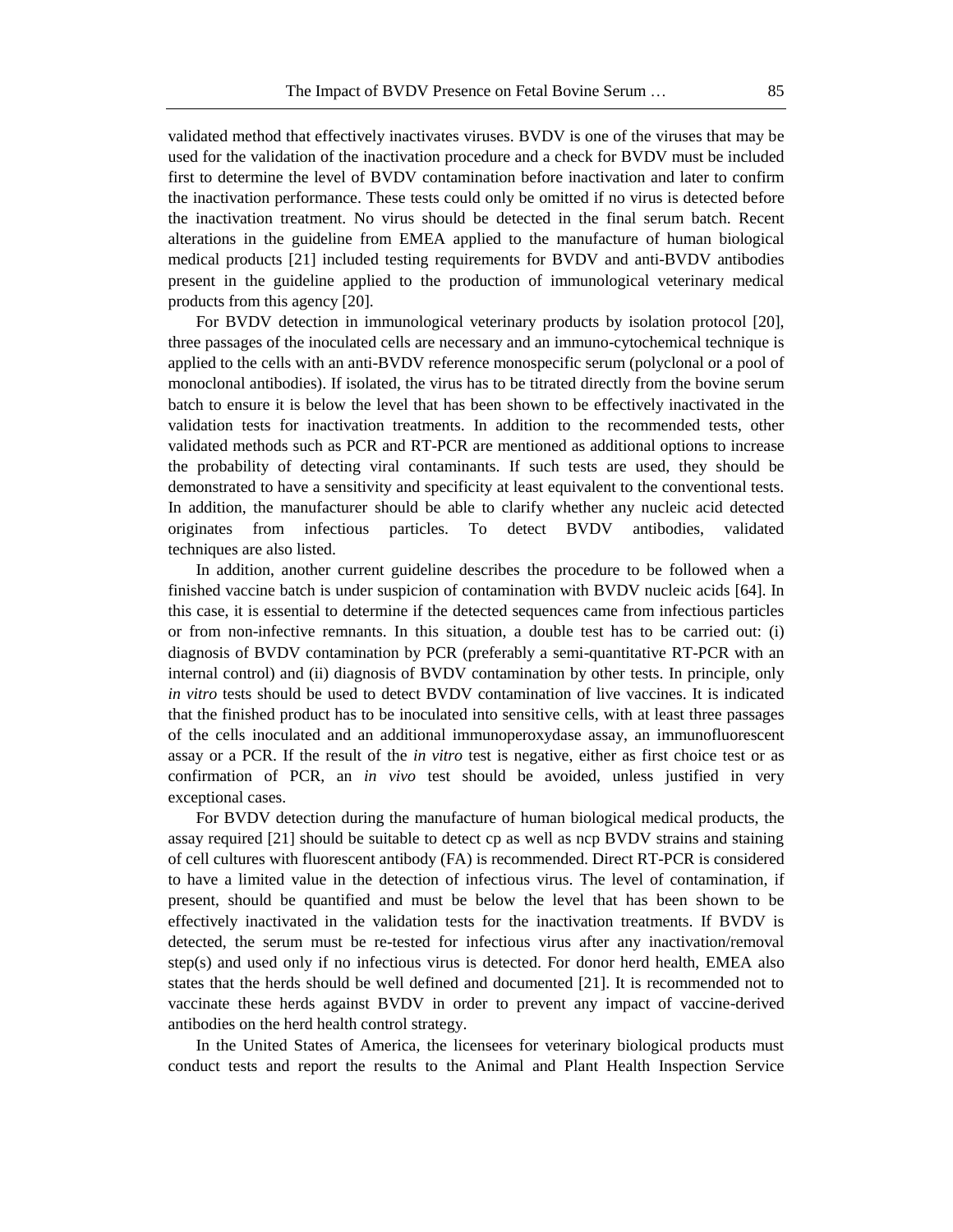validated method that effectively inactivates viruses. BVDV is one of the viruses that may be used for the validation of the inactivation procedure and a check for BVDV must be included first to determine the level of BVDV contamination before inactivation and later to confirm the inactivation performance. These tests could only be omitted if no virus is detected before the inactivation treatment. No virus should be detected in the final serum batch. Recent alterations in the guideline from EMEA applied to the manufacture of human biological medical products [21] included testing requirements for BVDV and anti-BVDV antibodies present in the guideline applied to the production of immunological veterinary medical products from this agency [20].

For BVDV detection in immunological veterinary products by isolation protocol [20], three passages of the inoculated cells are necessary and an immuno-cytochemical technique is applied to the cells with an anti-BVDV reference monospecific serum (polyclonal or a pool of monoclonal antibodies). If isolated, the virus has to be titrated directly from the bovine serum batch to ensure it is below the level that has been shown to be effectively inactivated in the validation tests for inactivation treatments. In addition to the recommended tests, other validated methods such as PCR and RT-PCR are mentioned as additional options to increase the probability of detecting viral contaminants. If such tests are used, they should be demonstrated to have a sensitivity and specificity at least equivalent to the conventional tests. In addition, the manufacturer should be able to clarify whether any nucleic acid detected originates from infectious particles. To detect BVDV antibodies, validated techniques are also listed.

In addition, another current guideline describes the procedure to be followed when a finished vaccine batch is under suspicion of contamination with BVDV nucleic acids [64]. In this case, it is essential to determine if the detected sequences came from infectious particles or from non-infective remnants. In this situation, a double test has to be carried out: (i) diagnosis of BVDV contamination by PCR (preferably a semi-quantitative RT-PCR with an internal control) and (ii) diagnosis of BVDV contamination by other tests. In principle, only *in vitro* tests should be used to detect BVDV contamination of live vaccines. It is indicated that the finished product has to be inoculated into sensitive cells, with at least three passages of the cells inoculated and an additional immunoperoxydase assay, an immunofluorescent assay or a PCR. If the result of the *in vitro* test is negative, either as first choice test or as confirmation of PCR, an *in vivo* test should be avoided, unless justified in very exceptional cases.

For BVDV detection during the manufacture of human biological medical products, the assay required [21] should be suitable to detect cp as well as ncp BVDV strains and staining of cell cultures with fluorescent antibody (FA) is recommended. Direct RT-PCR is considered to have a limited value in the detection of infectious virus. The level of contamination, if present, should be quantified and must be below the level that has been shown to be effectively inactivated in the validation tests for the inactivation treatments. If BVDV is detected, the serum must be re-tested for infectious virus after any inactivation/removal step(s) and used only if no infectious virus is detected. For donor herd health, EMEA also states that the herds should be well defined and documented [21]. It is recommended not to vaccinate these herds against BVDV in order to prevent any impact of vaccine-derived antibodies on the herd health control strategy.

In the United States of America, the licensees for veterinary biological products must conduct tests and report the results to the Animal and Plant Health Inspection Service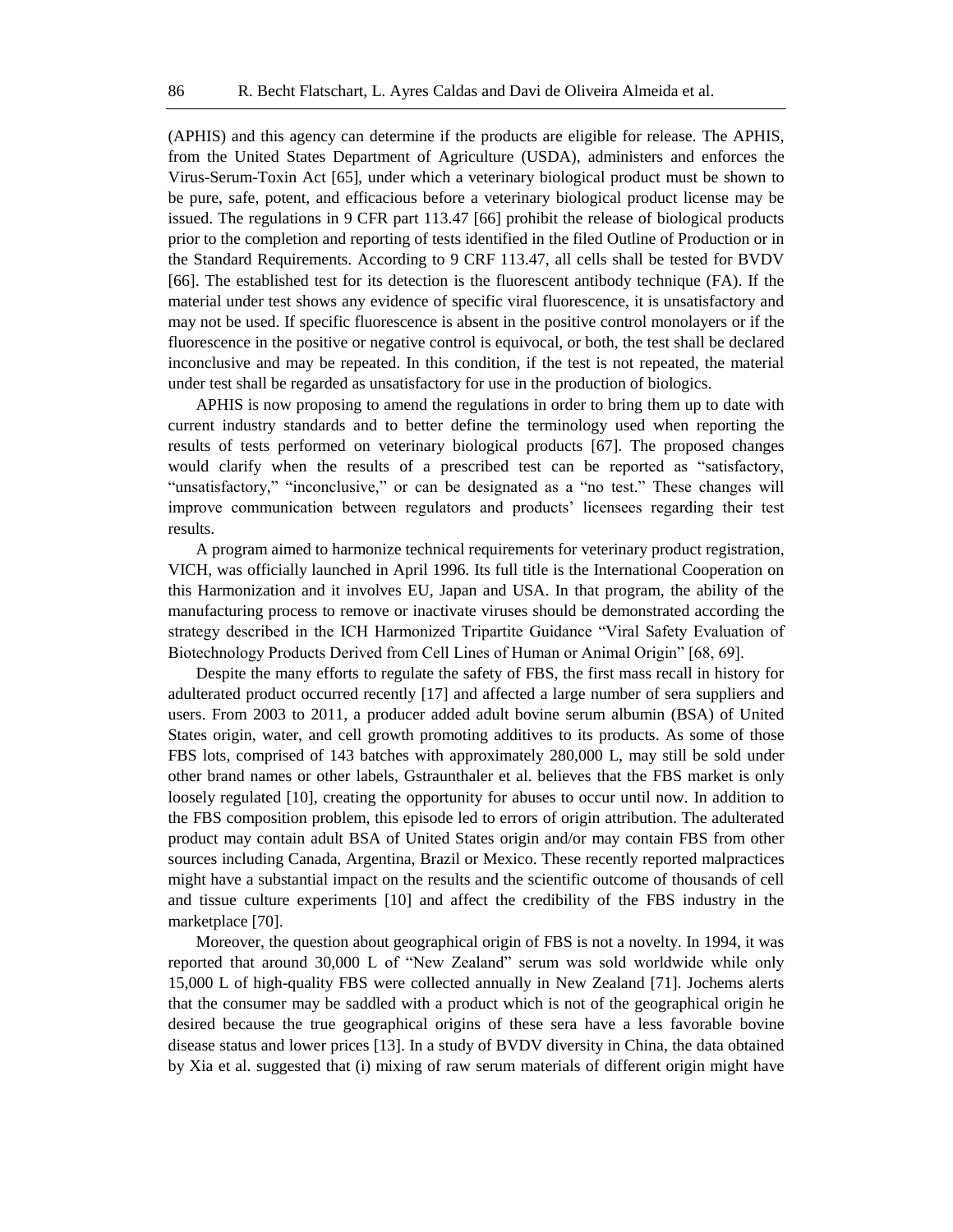(APHIS) and this agency can determine if the products are eligible for release. The APHIS, from the United States Department of Agriculture (USDA), administers and enforces the Virus-Serum-Toxin Act [65], under which a veterinary biological product must be shown to be pure, safe, potent, and efficacious before a veterinary biological product license may be issued. The regulations in 9 CFR part 113.47 [66] prohibit the release of biological products prior to the completion and reporting of tests identified in the filed Outline of Production or in the Standard Requirements. According to 9 CRF 113.47, all cells shall be tested for BVDV [66]. The established test for its detection is the fluorescent antibody technique (FA). If the material under test shows any evidence of specific viral fluorescence, it is unsatisfactory and may not be used. If specific fluorescence is absent in the positive control monolayers or if the fluorescence in the positive or negative control is equivocal, or both, the test shall be declared inconclusive and may be repeated. In this condition, if the test is not repeated, the material under test shall be regarded as unsatisfactory for use in the production of biologics.

APHIS is now proposing to amend the regulations in order to bring them up to date with current industry standards and to better define the terminology used when reporting the results of tests performed on veterinary biological products [67]. The proposed changes would clarify when the results of a prescribed test can be reported as "satisfactory, "unsatisfactory," "inconclusive," or can be designated as a "no test." These changes will improve communication between regulators and products' licensees regarding their test results.

A program aimed to harmonize technical requirements for veterinary product registration, VICH, was officially launched in April 1996. Its full title is the International Cooperation on this Harmonization and it involves EU, Japan and USA. In that program, the ability of the manufacturing process to remove or inactivate viruses should be demonstrated according the strategy described in the ICH Harmonized Tripartite Guidance "Viral Safety Evaluation of Biotechnology Products Derived from Cell Lines of Human or Animal Origin" [68, 69].

Despite the many efforts to regulate the safety of FBS, the first mass recall in history for adulterated product occurred recently [17] and affected a large number of sera suppliers and users. From 2003 to 2011, a producer added adult bovine serum albumin (BSA) of United States origin, water, and cell growth promoting additives to its products. As some of those FBS lots, comprised of 143 batches with approximately 280,000 L, may still be sold under other brand names or other labels, Gstraunthaler et al. believes that the FBS market is only loosely regulated [10], creating the opportunity for abuses to occur until now. In addition to the FBS composition problem, this episode led to errors of origin attribution. The adulterated product may contain adult BSA of United States origin and/or may contain FBS from other sources including Canada, Argentina, Brazil or Mexico. These recently reported malpractices might have a substantial impact on the results and the scientific outcome of thousands of cell and tissue culture experiments [10] and affect the credibility of the FBS industry in the marketplace [70].

Moreover, the question about geographical origin of FBS is not a novelty. In 1994, it was reported that around 30,000 L of "New Zealand" serum was sold worldwide while only 15,000 L of high-quality FBS were collected annually in New Zealand [71]. Jochems alerts that the consumer may be saddled with a product which is not of the geographical origin he desired because the true geographical origins of these sera have a less favorable bovine disease status and lower prices [13]. In a study of BVDV diversity in China, the data obtained by Xia et al. suggested that (i) mixing of raw serum materials of different origin might have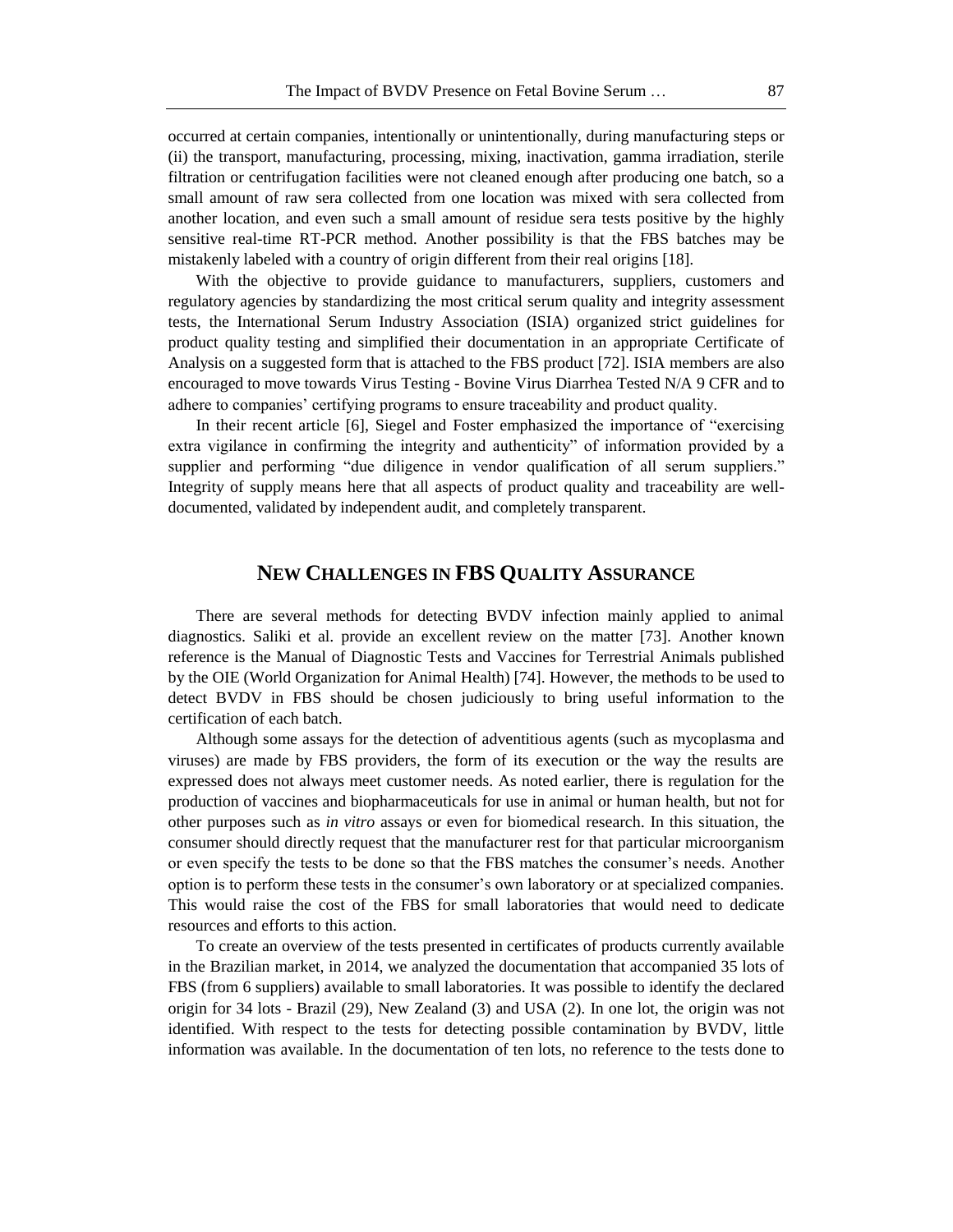occurred at certain companies, intentionally or unintentionally, during manufacturing steps or (ii) the transport, manufacturing, processing, mixing, inactivation, gamma irradiation, sterile filtration or centrifugation facilities were not cleaned enough after producing one batch, so a small amount of raw sera collected from one location was mixed with sera collected from another location, and even such a small amount of residue sera tests positive by the highly sensitive real-time RT-PCR method. Another possibility is that the FBS batches may be mistakenly labeled with a country of origin different from their real origins [18].

With the objective to provide guidance to manufacturers, suppliers, customers and regulatory agencies by standardizing the most critical serum quality and integrity assessment tests, the International Serum Industry Association (ISIA) organized strict guidelines for product quality testing and simplified their documentation in an appropriate Certificate of Analysis on a suggested form that is attached to the FBS product [72]. ISIA members are also encouraged to move towards Virus Testing - Bovine Virus Diarrhea Tested N/A 9 CFR and to adhere to companies' certifying programs to ensure traceability and product quality.

In their recent article [6], Siegel and Foster emphasized the importance of "exercising extra vigilance in confirming the integrity and authenticity" of information provided by a supplier and performing "due diligence in vendor qualification of all serum suppliers." Integrity of supply means here that all aspects of product quality and traceability are welldocumented, validated by independent audit, and completely transparent.

#### **NEW CHALLENGES IN FBS QUALITY ASSURANCE**

There are several methods for detecting BVDV infection mainly applied to animal diagnostics. Saliki et al. provide an excellent review on the matter [73]. Another known reference is the Manual of Diagnostic Tests and Vaccines for Terrestrial Animals published by the OIE (World Organization for Animal Health) [74]. However, the methods to be used to detect BVDV in FBS should be chosen judiciously to bring useful information to the certification of each batch.

Although some assays for the detection of adventitious agents (such as mycoplasma and viruses) are made by FBS providers, the form of its execution or the way the results are expressed does not always meet customer needs. As noted earlier, there is regulation for the production of vaccines and biopharmaceuticals for use in animal or human health, but not for other purposes such as *in vitro* assays or even for biomedical research. In this situation, the consumer should directly request that the manufacturer rest for that particular microorganism or even specify the tests to be done so that the FBS matches the consumer's needs. Another option is to perform these tests in the consumer's own laboratory or at specialized companies. This would raise the cost of the FBS for small laboratories that would need to dedicate resources and efforts to this action.

To create an overview of the tests presented in certificates of products currently available in the Brazilian market, in 2014, we analyzed the documentation that accompanied 35 lots of FBS (from 6 suppliers) available to small laboratories. It was possible to identify the declared origin for 34 lots - Brazil (29), New Zealand (3) and USA (2). In one lot, the origin was not identified. With respect to the tests for detecting possible contamination by BVDV, little information was available. In the documentation of ten lots, no reference to the tests done to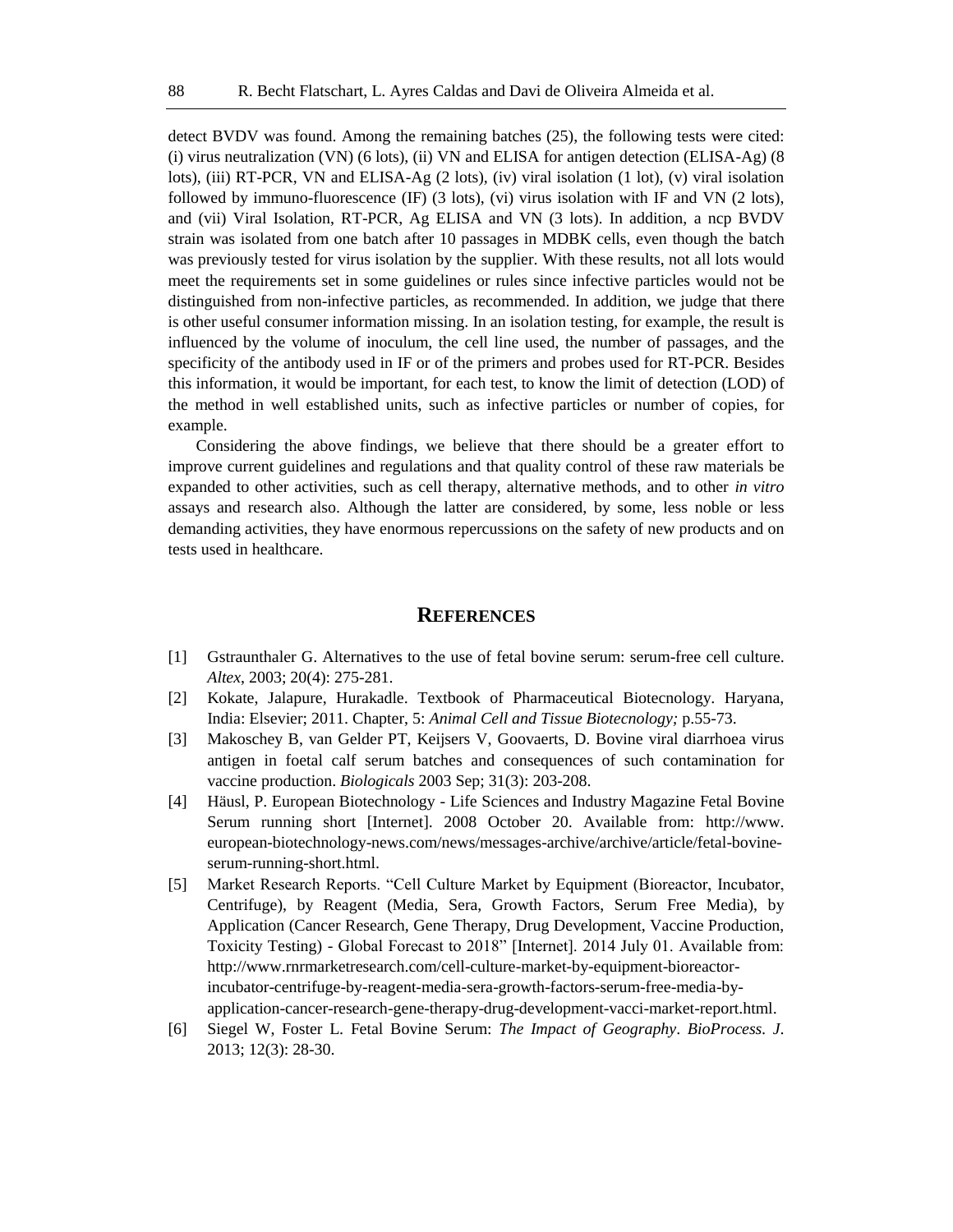detect BVDV was found. Among the remaining batches (25), the following tests were cited: (i) virus neutralization (VN) (6 lots), (ii) VN and ELISA for antigen detection (ELISA-Ag)  $(8$ lots), (iii) RT-PCR, VN and ELISA-Ag (2 lots), (iv) viral isolation (1 lot), (v) viral isolation followed by immuno-fluorescence (IF) (3 lots), (vi) virus isolation with IF and VN (2 lots), and (vii) Viral Isolation, RT-PCR, Ag ELISA and VN (3 lots). In addition, a ncp BVDV strain was isolated from one batch after 10 passages in MDBK cells, even though the batch was previously tested for virus isolation by the supplier. With these results, not all lots would meet the requirements set in some guidelines or rules since infective particles would not be distinguished from non-infective particles, as recommended. In addition, we judge that there is other useful consumer information missing. In an isolation testing, for example, the result is influenced by the volume of inoculum, the cell line used, the number of passages, and the specificity of the antibody used in IF or of the primers and probes used for RT-PCR. Besides this information, it would be important, for each test, to know the limit of detection (LOD) of the method in well established units, such as infective particles or number of copies, for example.

Considering the above findings, we believe that there should be a greater effort to improve current guidelines and regulations and that quality control of these raw materials be expanded to other activities, such as cell therapy, alternative methods, and to other *in vitro* assays and research also. Although the latter are considered, by some, less noble or less demanding activities, they have enormous repercussions on the safety of new products and on tests used in healthcare.

#### **REFERENCES**

- [1] Gstraunthaler G. Alternatives to the use of fetal bovine serum: serum-free cell culture. *Altex*, 2003; 20(4): 275-281.
- [2] Kokate, Jalapure, Hurakadle. Textbook of Pharmaceutical Biotecnology. Haryana, India: Elsevier; 2011. Chapter, 5: *Animal Cell and Tissue Biotecnology;* p.55-73.
- [3] Makoschey B, van Gelder PT, Keijsers V, Goovaerts, D. Bovine viral diarrhoea virus antigen in foetal calf serum batches and consequences of such contamination for vaccine production. *Biologicals* 2003 Sep; 31(3): 203-208.
- [4] Häusl, P. European Biotechnology Life Sciences and Industry Magazine Fetal Bovine Serum running short [Internet]. 2008 October 20. Available from: http://www. european-biotechnology-news.com/news/messages-archive/archive/article/fetal-bovineserum-running-short.html.
- [5] Market Research Reports. "Cell Culture Market by Equipment (Bioreactor, Incubator, Centrifuge), by Reagent (Media, Sera, Growth Factors, Serum Free Media), by Application (Cancer Research, Gene Therapy, Drug Development, Vaccine Production, Toxicity Testing) - Global Forecast to 2018" [Internet]. 2014 July 01. Available from: http://www.rnrmarketresearch.com/cell-culture-market-by-equipment-bioreactorincubator-centrifuge-by-reagent-media-sera-growth-factors-serum-free-media-byapplication-cancer-research-gene-therapy-drug-development-vacci-market-report.html.
- [6] Siegel W, Foster L. Fetal Bovine Serum: *The Impact of Geography*. *BioProcess. J*. 2013; 12(3): 28-30.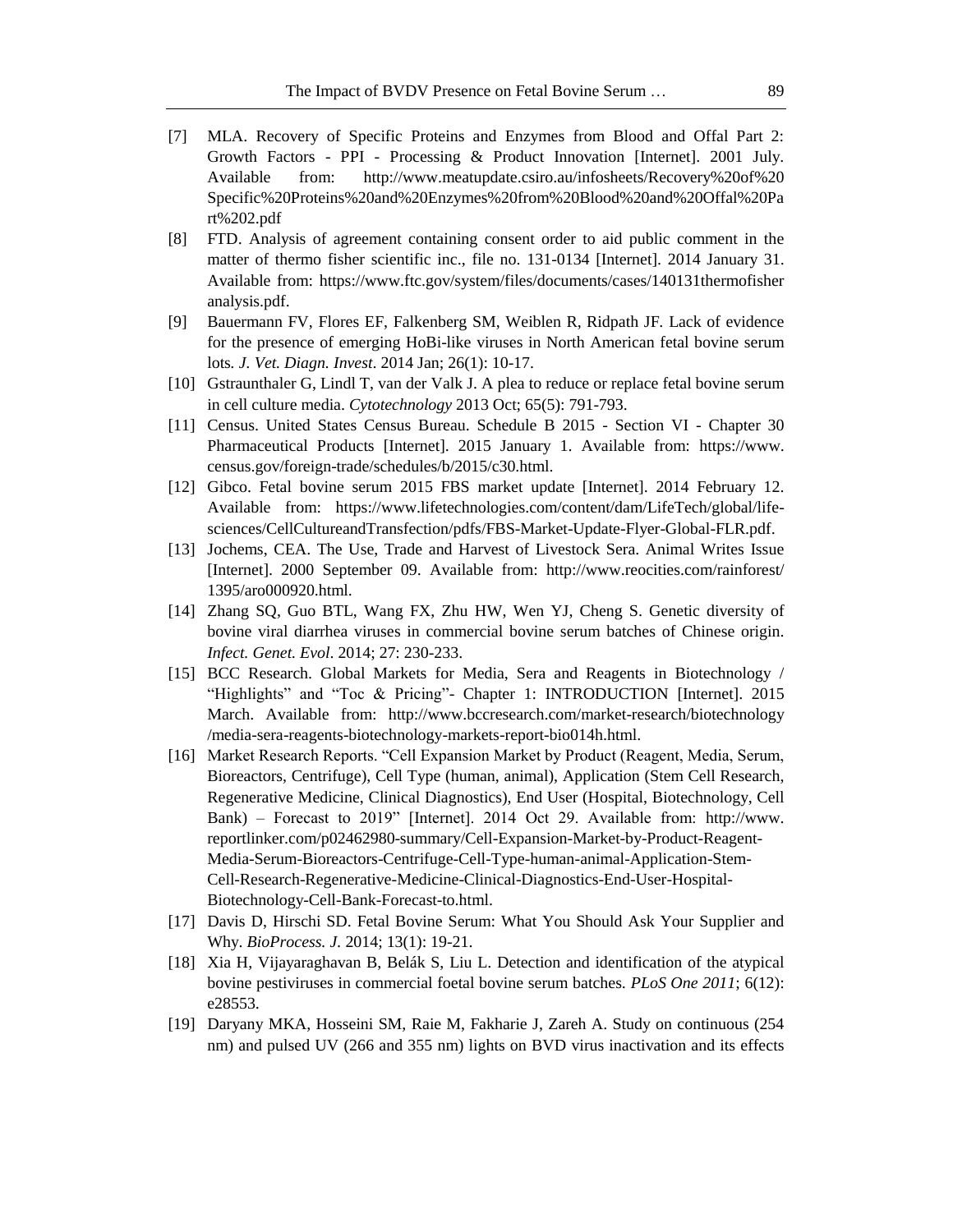- [7] MLA. Recovery of Specific Proteins and Enzymes from Blood and Offal Part 2: Growth Factors - PPI - Processing & Product Innovation [Internet]. 2001 July. Available from: http://www.meatupdate.csiro.au/infosheets/Recovery%20of%20 Specific%20Proteins%20and%20Enzymes%20from%20Blood%20and%20Offal%20Pa rt%202.pdf
- [8] FTD. Analysis of agreement containing consent order to aid public comment in the matter of thermo fisher scientific inc., file no. 131-0134 [Internet]. 2014 January 31. Available from: https://www.ftc.gov/system/files/documents/cases/140131thermofisher analysis.pdf.
- [9] Bauermann FV, Flores EF, Falkenberg SM, Weiblen R, Ridpath JF. Lack of evidence for the presence of emerging HoBi-like viruses in North American fetal bovine serum lots*. J. Vet. Diagn. Invest*. 2014 Jan; 26(1): 10-17.
- [10] Gstraunthaler G, Lindl T, van der Valk J. A plea to reduce or replace fetal bovine serum in cell culture media. *Cytotechnology* 2013 Oct; 65(5): 791-793.
- [11] Census. United States Census Bureau. Schedule B 2015 Section VI Chapter 30 Pharmaceutical Products [Internet]. 2015 January 1. Available from: https://www. census.gov/foreign-trade/schedules/b/2015/c30.html.
- [12] Gibco. Fetal bovine serum 2015 FBS market update [Internet]. 2014 February 12. Available from: https://www.lifetechnologies.com/content/dam/LifeTech/global/lifesciences/CellCultureandTransfection/pdfs/FBS-Market-Update-Flyer-Global-FLR.pdf.
- [13] Jochems, CEA. The Use, Trade and Harvest of Livestock Sera. Animal Writes Issue [Internet]. 2000 September 09. Available from: http://www.reocities.com/rainforest/ 1395/aro000920.html.
- [14] Zhang SQ, Guo BTL, Wang FX, Zhu HW, Wen YJ, Cheng S. Genetic diversity of bovine viral diarrhea viruses in commercial bovine serum batches of Chinese origin. *Infect. Genet. Evol*. 2014; 27: 230-233.
- [15] BCC Research. Global Markets for Media, Sera and Reagents in Biotechnology / "Highlights" and "Toc & Pricing"- Chapter 1: INTRODUCTION [Internet]. 2015 March. Available from: <http://www.bccresearch.com/market-research/biotechnology> /media-sera-reagents-biotechnology-markets-report-bio014h.html.
- [16] Market Research Reports. "Cell Expansion Market by Product (Reagent, Media, Serum, Bioreactors, Centrifuge), Cell Type (human, animal), Application (Stem Cell Research, Regenerative Medicine, Clinical Diagnostics), End User (Hospital, Biotechnology, Cell Bank) – Forecast to 2019" [Internet]. 2014 Oct 29. Available from: http://www. reportlinker.com/p02462980-summary/Cell-Expansion-Market-by-Product-Reagent-Media-Serum-Bioreactors-Centrifuge-Cell-Type-human-animal-Application-Stem-Cell-Research-Regenerative-Medicine-Clinical-Diagnostics-End-User-Hospital-Biotechnology-Cell-Bank-Forecast-to.html.
- [17] Davis D, Hirschi SD. Fetal Bovine Serum: What You Should Ask Your Supplier and Why. *BioProcess. J.* 2014; 13(1): 19-21.
- [18] Xia H, Vijayaraghavan B, Belák S, Liu L. Detection and identification of the atypical bovine pestiviruses in commercial foetal bovine serum batches. *PLoS One 2011*; 6(12): e28553.
- [19] Daryany MKA, Hosseini SM, Raie M, Fakharie J, Zareh A. Study on continuous (254 nm) and pulsed UV (266 and 355 nm) lights on BVD virus inactivation and its effects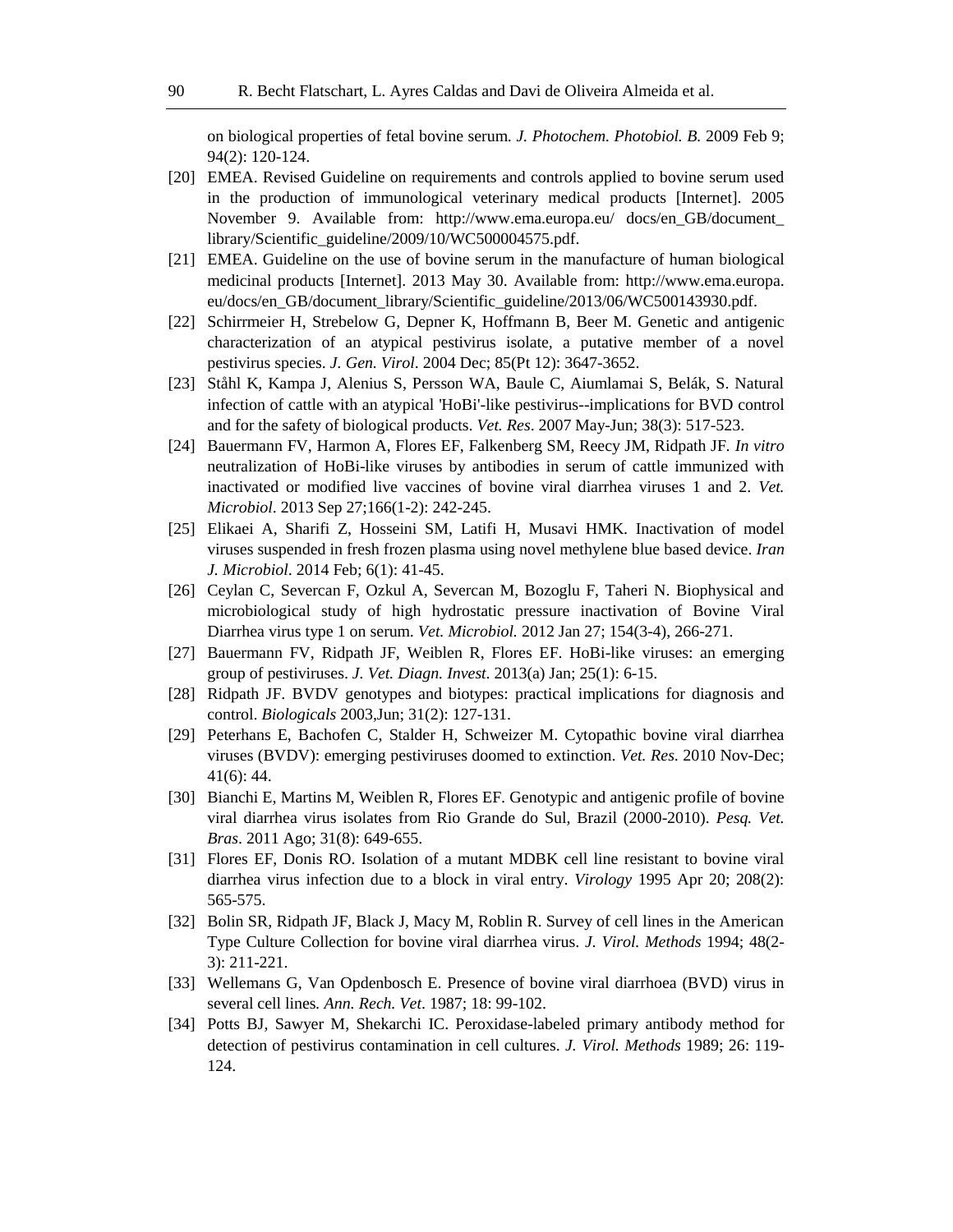on biological properties of fetal bovine serum. *J. Photochem. Photobiol. B.* 2009 Feb 9; 94(2): 120-124.

- [20] EMEA. Revised Guideline on requirements and controls applied to bovine serum used in the production of immunological veterinary medical products [Internet]. 2005 November 9. Available from: http://www.ema.europa.eu/ docs/en\_GB/document\_ library/Scientific\_guideline/2009/10/WC500004575.pdf.
- [21] EMEA. Guideline on the use of bovine serum in the manufacture of human biological medicinal products [Internet]. 2013 May 30. Available from: http://www.ema.europa. eu/docs/en\_GB/document\_library/Scientific\_guideline/2013/06/WC500143930.pdf.
- [22] Schirrmeier H, Strebelow G, Depner K, Hoffmann B, Beer M. Genetic and antigenic characterization of an atypical pestivirus isolate, a putative member of a novel pestivirus species. *J. Gen. Virol*. 2004 Dec; 85(Pt 12): 3647-3652.
- [23] Ståhl K, Kampa J, Alenius S, Persson WA, Baule C, Aiumlamai S, Belák, S. Natural infection of cattle with an atypical 'HoBi'-like pestivirus--implications for BVD control and for the safety of biological products. *Vet. Res*. 2007 May-Jun; 38(3): 517-523.
- [24] Bauermann FV, Harmon A, Flores EF, Falkenberg SM, Reecy JM, Ridpath JF. *In vitro* neutralization of HoBi-like viruses by antibodies in serum of cattle immunized with inactivated or modified live vaccines of bovine viral diarrhea viruses 1 and 2. *Vet. Microbiol*. 2013 Sep 27;166(1-2): 242-245.
- [25] Elikaei A, Sharifi Z, Hosseini SM, Latifi H, Musavi HMK. Inactivation of model viruses suspended in fresh frozen plasma using novel methylene blue based device. *Iran J. Microbiol*. 2014 Feb; 6(1): 41-45.
- [26] Ceylan C, Severcan F, Ozkul A, Severcan M, Bozoglu F, Taheri N. Biophysical and microbiological study of high hydrostatic pressure inactivation of Bovine Viral Diarrhea virus type 1 on serum. *Vet. Microbiol.* 2012 Jan 27; 154(3-4), 266-271.
- [27] Bauermann FV, Ridpath JF, Weiblen R, Flores EF. HoBi-like viruses: an emerging group of pestiviruses. *J. Vet. Diagn. Invest*. 2013(a) Jan; 25(1): 6-15.
- [28] Ridpath JF. BVDV genotypes and biotypes: practical implications for diagnosis and control. *Biologicals* 2003,Jun; 31(2): 127-131.
- [29] Peterhans E, Bachofen C, Stalder H, Schweizer M. Cytopathic bovine viral diarrhea viruses (BVDV): emerging pestiviruses doomed to extinction. *Vet. Res*. 2010 Nov-Dec; 41(6): 44.
- [30] Bianchi E, Martins M, Weiblen R, Flores EF. Genotypic and antigenic profile of bovine viral diarrhea virus isolates from Rio Grande do Sul, Brazil (2000-2010). *Pesq. Vet. Bras*. 2011 Ago; 31(8): 649-655.
- [31] Flores EF, Donis RO. Isolation of a mutant MDBK cell line resistant to bovine viral diarrhea virus infection due to a block in viral entry. *Virology* 1995 Apr 20; 208(2): 565-575.
- [32] Bolin SR, Ridpath JF, Black J, Macy M, Roblin R. Survey of cell lines in the American Type Culture Collection for bovine viral diarrhea virus. *J. Virol. Methods* 1994; 48(2- 3): 211-221.
- [33] Wellemans G, Van Opdenbosch E. Presence of bovine viral diarrhoea (BVD) virus in several cell lines*. Ann. Rech. Vet*. 1987; 18: 99-102.
- [34] Potts BJ, Sawyer M, Shekarchi IC. Peroxidase-labeled primary antibody method for detection of pestivirus contamination in cell cultures. *J. Virol. Methods* 1989; 26: 119- 124.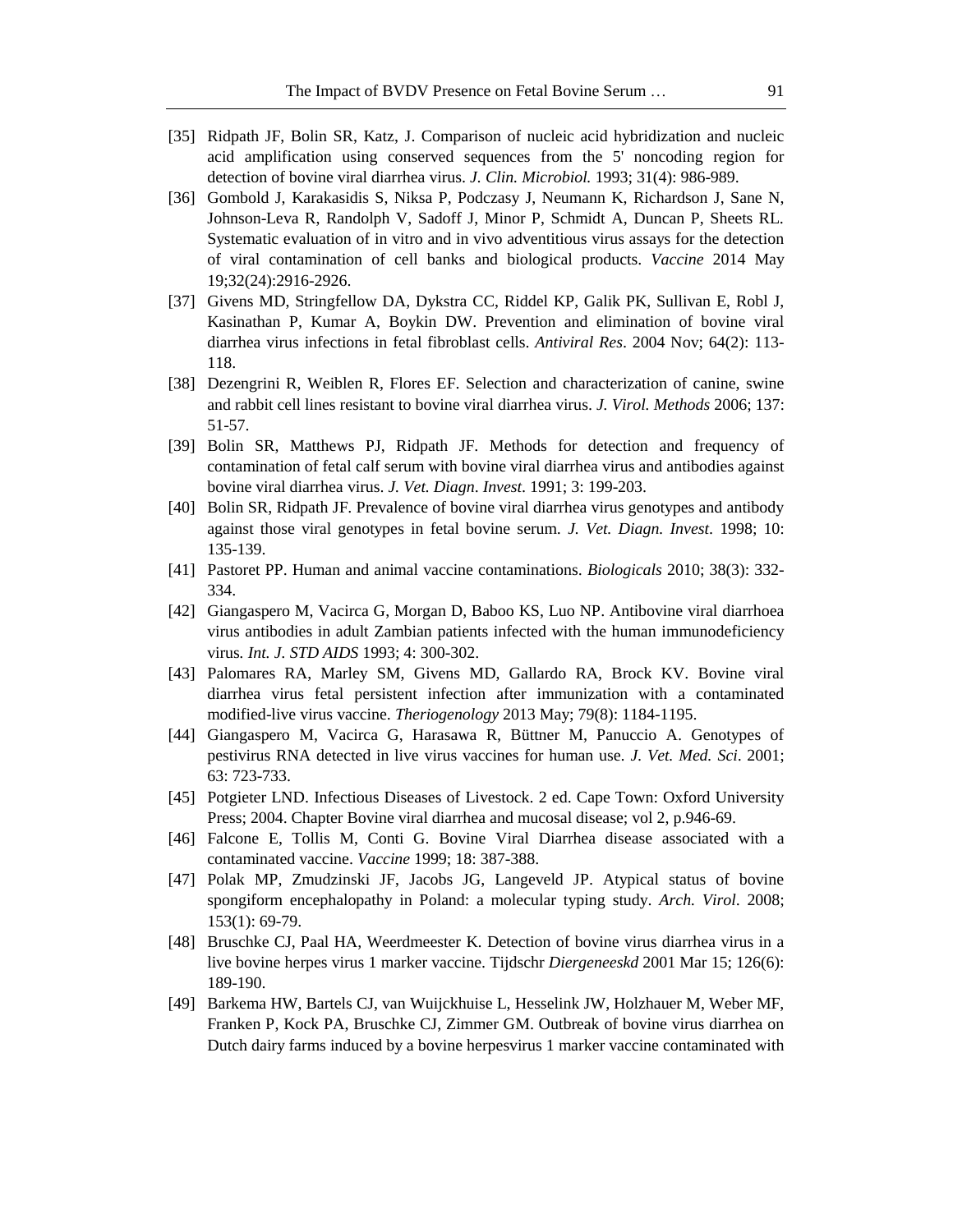- [35] Ridpath JF, Bolin SR, Katz, J. Comparison of nucleic acid hybridization and nucleic acid amplification using conserved sequences from the 5' noncoding region for detection of bovine viral diarrhea virus. *J. Clin. Microbiol.* 1993; 31(4): 986-989.
- [36] Gombold J, Karakasidis S, Niksa P, Podczasy J, Neumann K, Richardson J, Sane N, Johnson-Leva R, Randolph V, Sadoff J, Minor P, Schmidt A, Duncan P, Sheets RL. Systematic evaluation of in vitro and in vivo adventitious virus assays for the detection of viral contamination of cell banks and biological products. *Vaccine* 2014 May 19;32(24):2916-2926.
- [37] Givens MD, Stringfellow DA, Dykstra CC, Riddel KP, Galik PK, Sullivan E, Robl J, Kasinathan P, Kumar A, Boykin DW. Prevention and elimination of bovine viral diarrhea virus infections in fetal fibroblast cells. *Antiviral Res*. 2004 Nov; 64(2): 113- 118.
- [38] Dezengrini R, Weiblen R, Flores EF. Selection and characterization of canine, swine and rabbit cell lines resistant to bovine viral diarrhea virus. *J. Virol. Methods* 2006; 137: 51-57.
- [39] Bolin SR, Matthews PJ, Ridpath JF. Methods for detection and frequency of contamination of fetal calf serum with bovine viral diarrhea virus and antibodies against bovine viral diarrhea virus. *J. Vet. Diagn*. *Invest*. 1991; 3: 199-203.
- [40] Bolin SR, Ridpath JF. Prevalence of bovine viral diarrhea virus genotypes and antibody against those viral genotypes in fetal bovine serum. *J. Vet. Diagn. Invest*. 1998; 10: 135-139.
- [41] Pastoret PP. Human and animal vaccine contaminations. *Biologicals* 2010; 38(3): 332- 334.
- [42] Giangaspero M, Vacirca G, Morgan D, Baboo KS, Luo NP. Antibovine viral diarrhoea virus antibodies in adult Zambian patients infected with the human immunodeficiency virus*. Int. J. STD AIDS* 1993; 4: 300-302.
- [43] Palomares RA, Marley SM, Givens MD, Gallardo RA, Brock KV. Bovine viral diarrhea virus fetal persistent infection after immunization with a contaminated modified-live virus vaccine. *Theriogenology* 2013 May; 79(8): 1184-1195.
- [44] Giangaspero M, Vacirca G, Harasawa R, Büttner M, Panuccio A. Genotypes of pestivirus RNA detected in live virus vaccines for human use*. J. Vet. Med. Sci*. 2001; 63: 723-733.
- [45] Potgieter LND. Infectious Diseases of Livestock. 2 ed. Cape Town: Oxford University Press; 2004. Chapter Bovine viral diarrhea and mucosal disease; vol 2, p.946-69.
- [46] Falcone E, Tollis M, Conti G. Bovine Viral Diarrhea disease associated with a contaminated vaccine. *Vaccine* 1999; 18: 387-388.
- [47] Polak MP, Zmudzinski JF, Jacobs JG, Langeveld JP. Atypical status of bovine spongiform encephalopathy in Poland: a molecular typing study. *Arch. Virol*. 2008; 153(1): 69-79.
- [48] Bruschke CJ, Paal HA, Weerdmeester K. Detection of bovine virus diarrhea virus in a live bovine herpes virus 1 marker vaccine. Tijdschr *Diergeneeskd* 2001 Mar 15; 126(6): 189-190.
- [49] Barkema HW, Bartels CJ, van Wuijckhuise L, Hesselink JW, Holzhauer M, Weber MF, Franken P, Kock PA, Bruschke CJ, Zimmer GM. Outbreak of bovine virus diarrhea on Dutch dairy farms induced by a bovine herpesvirus 1 marker vaccine contaminated with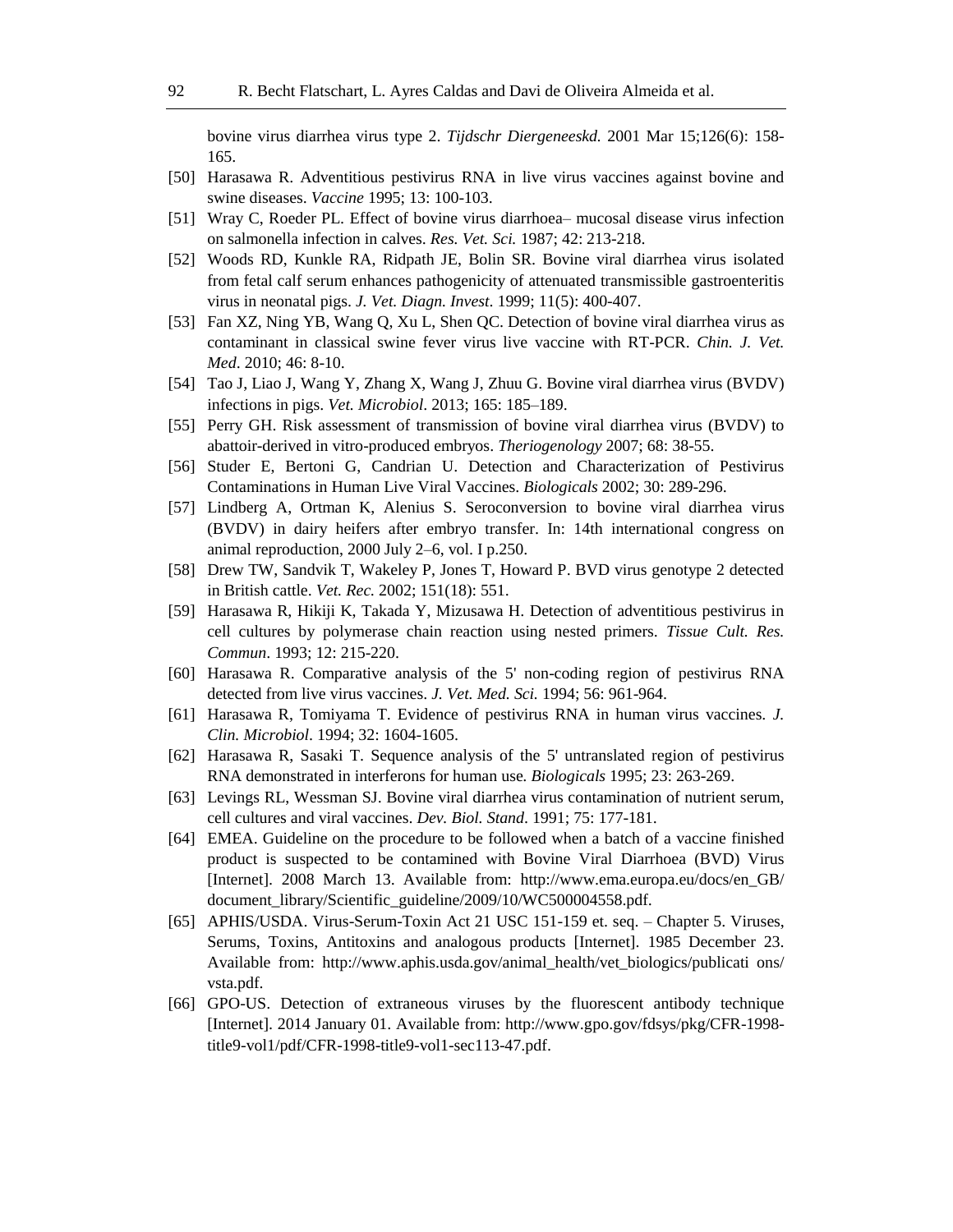bovine virus diarrhea virus type 2. *Tijdschr Diergeneeskd.* 2001 Mar 15;126(6): 158- 165.

- [50] Harasawa R. Adventitious pestivirus RNA in live virus vaccines against bovine and swine diseases. *Vaccine* 1995; 13: 100-103.
- [51] Wray C, Roeder PL. Effect of bovine virus diarrhoea– mucosal disease virus infection on salmonella infection in calves. *Res. Vet. Sci.* 1987; 42: 213-218.
- [52] Woods RD, Kunkle RA, Ridpath JE, Bolin SR. Bovine viral diarrhea virus isolated from fetal calf serum enhances pathogenicity of attenuated transmissible gastroenteritis virus in neonatal pigs. *J. Vet. Diagn. Invest*. 1999; 11(5): 400-407.
- [53] Fan XZ, Ning YB, Wang Q, Xu L, Shen QC. Detection of bovine viral diarrhea virus as contaminant in classical swine fever virus live vaccine with RT-PCR. *Chin. J. Vet. Med*. 2010; 46: 8-10.
- [54] Tao J, Liao J, Wang Y, Zhang X, Wang J, Zhuu G. Bovine viral diarrhea virus (BVDV) infections in pigs. *Vet. Microbiol*. 2013; 165: 185–189.
- [55] Perry GH. Risk assessment of transmission of bovine viral diarrhea virus (BVDV) to abattoir-derived in vitro-produced embryos. *Theriogenology* 2007; 68: 38-55.
- [56] Studer E, Bertoni G, Candrian U. Detection and Characterization of Pestivirus Contaminations in Human Live Viral Vaccines. *Biologicals* 2002; 30: 289-296.
- [57] Lindberg A, Ortman K, Alenius S. Seroconversion to bovine viral diarrhea virus (BVDV) in dairy heifers after embryo transfer. In: 14th international congress on animal reproduction, 2000 July 2–6, vol. I p.250.
- [58] Drew TW, Sandvik T, Wakeley P, Jones T, Howard P. BVD virus genotype 2 detected in British cattle. *Vet. Rec.* 2002; 151(18): 551.
- [59] Harasawa R, Hikiji K, Takada Y, Mizusawa H. Detection of adventitious pestivirus in cell cultures by polymerase chain reaction using nested primers. *Tissue Cult. Res. Commun*. 1993; 12: 215-220.
- [60] Harasawa R. Comparative analysis of the 5' non-coding region of pestivirus RNA detected from live virus vaccines. *J. Vet. Med. Sci.* 1994; 56: 961-964.
- [61] Harasawa R, Tomiyama T. Evidence of pestivirus RNA in human virus vaccines. *J. Clin. Microbiol*. 1994; 32: 1604-1605.
- [62] Harasawa R, Sasaki T. Sequence analysis of the 5' untranslated region of pestivirus RNA demonstrated in interferons for human use*. Biologicals* 1995; 23: 263-269.
- [63] Levings RL, Wessman SJ. Bovine viral diarrhea virus contamination of nutrient serum, cell cultures and viral vaccines. *Dev. Biol. Stand*. 1991; 75: 177-181.
- [64] EMEA. Guideline on the procedure to be followed when a batch of a vaccine finished product is suspected to be contamined with Bovine Viral Diarrhoea (BVD) Virus [Internet]. 2008 March 13. Available from: http://www.ema.europa.eu/docs/en\_GB/ document\_library/Scientific\_guideline/2009/10/WC500004558.pdf.
- [65] APHIS/USDA. Virus-Serum-Toxin Act 21 USC 151-159 et. seq. Chapter 5. Viruses, Serums, Toxins, Antitoxins and analogous products [Internet]. 1985 December 23. Available from: http://www.aphis.usda.gov/animal\_health/vet\_biologics/publicati ons/ vsta.pdf.
- [66] GPO-US. Detection of extraneous viruses by the fluorescent antibody technique [Internet]. 2014 January 01. Available from: http://www.gpo.gov/fdsys/pkg/CFR-1998 title9-vol1/pdf/CFR-1998-title9-vol1-sec113-47.pdf.